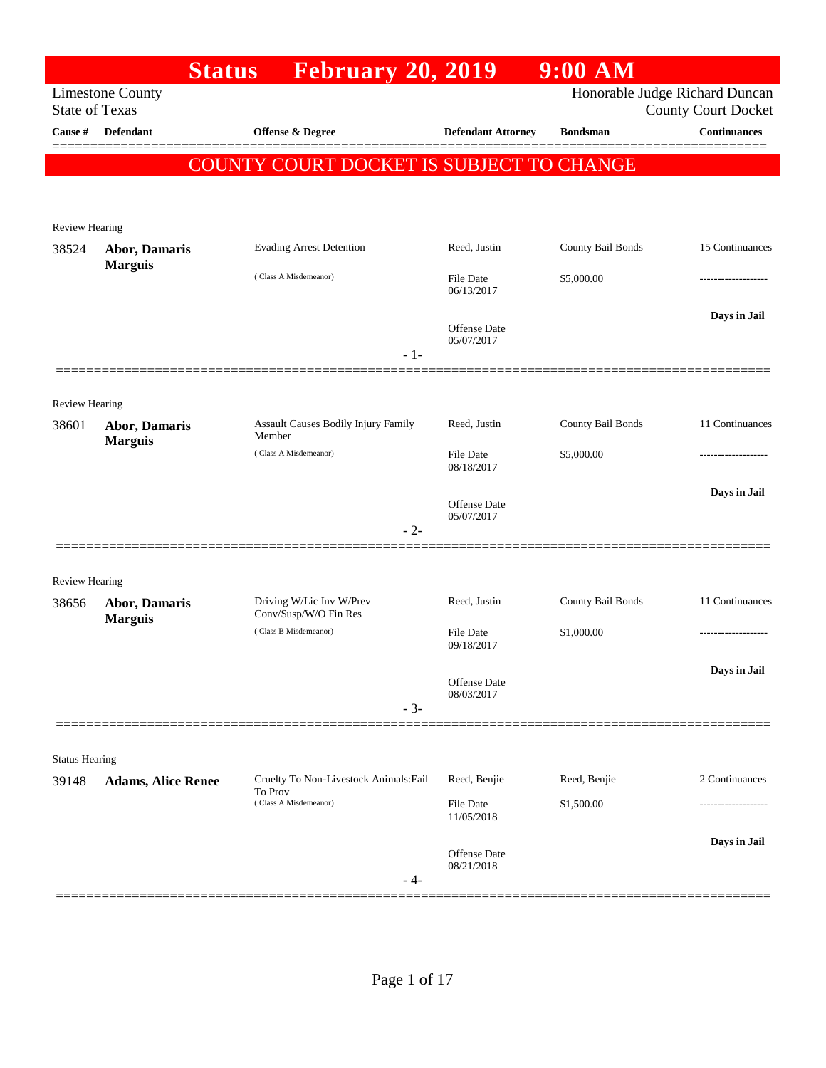|                       |                                        | <b>Status</b><br><b>February 20, 2019</b>         |                                     | 9:00 AM           |                                                              |
|-----------------------|----------------------------------------|---------------------------------------------------|-------------------------------------|-------------------|--------------------------------------------------------------|
| <b>State of Texas</b> | <b>Limestone County</b>                |                                                   |                                     |                   | Honorable Judge Richard Duncan<br><b>County Court Docket</b> |
| Cause #               | Defendant                              | Offense & Degree                                  | <b>Defendant Attorney</b>           | <b>Bondsman</b>   | <b>Continuances</b>                                          |
|                       |                                        | COUNTY COURT DOCKET IS SUBJECT TO CHANGE          |                                     |                   |                                                              |
|                       |                                        |                                                   |                                     |                   |                                                              |
| <b>Review Hearing</b> |                                        |                                                   |                                     |                   |                                                              |
| 38524                 | Abor, Damaris                          | <b>Evading Arrest Detention</b>                   | Reed, Justin                        | County Bail Bonds | 15 Continuances                                              |
|                       | <b>Marguis</b>                         | (Class A Misdemeanor)                             | <b>File Date</b><br>06/13/2017      | \$5,000.00        |                                                              |
|                       |                                        |                                                   | <b>Offense Date</b><br>05/07/2017   |                   | Days in Jail                                                 |
|                       |                                        |                                                   | $-1-$                               |                   |                                                              |
| Review Hearing        |                                        |                                                   |                                     |                   |                                                              |
| 38601                 | <b>Abor, Damaris</b><br><b>Marguis</b> | Assault Causes Bodily Injury Family<br>Member     | Reed, Justin                        | County Bail Bonds | 11 Continuances                                              |
|                       |                                        | (Class A Misdemeanor)                             | <b>File Date</b><br>08/18/2017      | \$5,000.00        |                                                              |
|                       |                                        |                                                   |                                     |                   | Days in Jail                                                 |
|                       |                                        |                                                   | Offense Date<br>05/07/2017<br>$-2-$ |                   |                                                              |
|                       |                                        |                                                   |                                     |                   |                                                              |
| Review Hearing        |                                        |                                                   |                                     |                   |                                                              |
| 38656                 | <b>Abor, Damaris</b>                   | Driving W/Lic Inv W/Prev<br>Conv/Susp/W/O Fin Res | Reed, Justin                        | County Bail Bonds | 11 Continuances                                              |
|                       | <b>Marguis</b>                         | (Class B Misdemeanor)                             | <b>File Date</b><br>09/18/2017      | \$1,000.00        | -----------------                                            |
|                       |                                        |                                                   | Offense Date<br>08/03/2017          |                   | Days in Jail                                                 |
|                       |                                        |                                                   | $-3-$                               |                   |                                                              |
|                       |                                        |                                                   |                                     |                   |                                                              |
| <b>Status Hearing</b> |                                        | Cruelty To Non-Livestock Animals: Fail            | Reed, Benjie                        | Reed, Benjie      | 2 Continuances                                               |
| 39148                 | <b>Adams, Alice Renee</b>              | To Prov<br>(Class A Misdemeanor)                  | File Date                           | \$1,500.00        |                                                              |
|                       |                                        |                                                   | 11/05/2018                          |                   |                                                              |
|                       |                                        |                                                   | Offense Date<br>08/21/2018          |                   | Days in Jail                                                 |
|                       |                                        |                                                   | - 4-                                |                   |                                                              |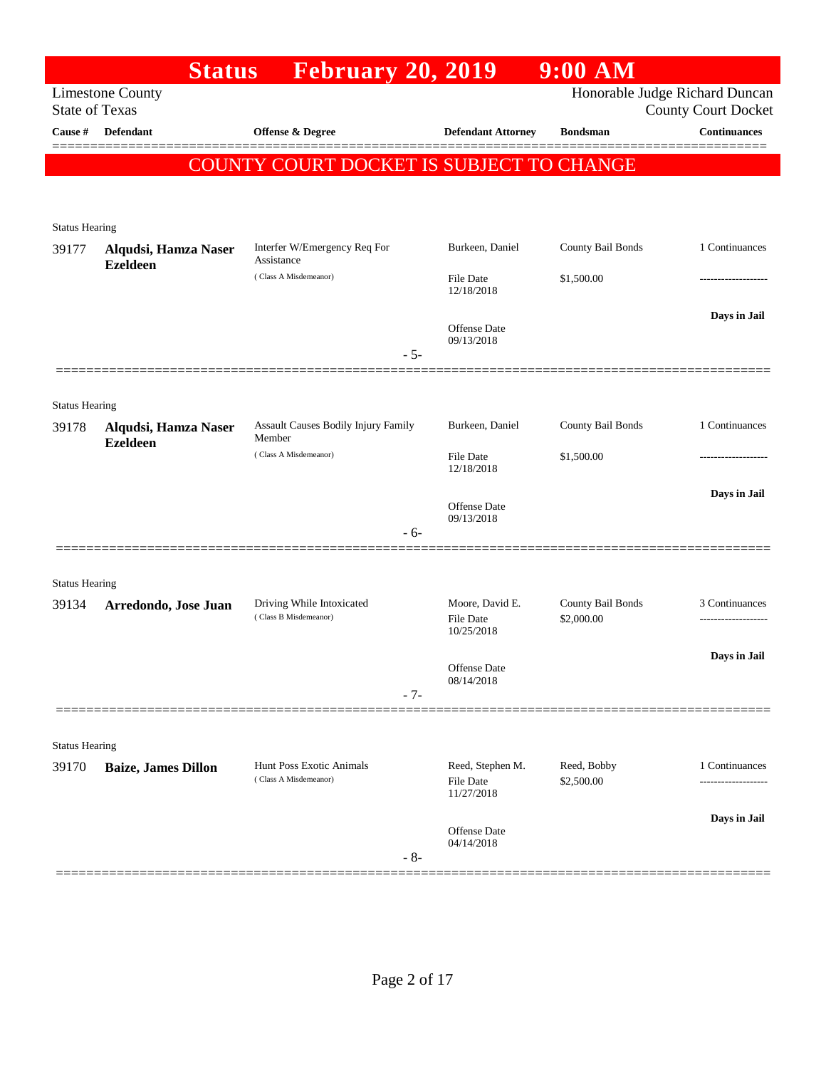| Honorable Judge Richard Duncan<br><b>Limestone County</b><br><b>State of Texas</b><br><b>Defendant</b><br>Cause #<br>Offense & Degree<br><b>Defendant Attorney</b><br><b>Bondsman</b><br>COUNTY COURT DOCKET IS SUBJECT TO CHANGE<br><b>Status Hearing</b><br>Interfer W/Emergency Req For<br>Burkeen, Daniel<br>County Bail Bonds<br>39177<br>Alqudsi, Hamza Naser<br>Assistance<br><b>Ezeldeen</b><br>(Class A Misdemeanor)<br><b>File Date</b><br>\$1,500.00<br>12/18/2018<br><b>Offense Date</b><br>09/13/2018<br>$-5-$<br><b>Status Hearing</b><br>County Bail Bonds<br>Assault Causes Bodily Injury Family<br>Burkeen, Daniel<br>39178<br>Alqudsi, Hamza Naser<br>Member<br><b>Ezeldeen</b><br>(Class A Misdemeanor)<br>\$1,500.00<br>File Date<br>12/18/2018<br><b>Offense Date</b><br>09/13/2018<br>$-6-$<br><b>Status Hearing</b><br>Moore, David E.<br>County Bail Bonds<br>Driving While Intoxicated<br>39134<br>Arredondo, Jose Juan<br>(Class B Misdemeanor)<br><b>File Date</b><br>\$2,000.00<br>10/25/2018<br>Offense Date<br>08/14/2018<br>$-7-$<br><b>Status Hearing</b><br>Hunt Poss Exotic Animals<br>Reed, Stephen M.<br>Reed, Bobby<br>39170<br><b>Baize, James Dillon</b><br>(Class A Misdemeanor)<br><b>File Date</b><br>\$2,500.00<br>11/27/2018 | <b>Status</b> | <b>February 20, 2019</b> |                     | $9:00$ AM |                            |
|--------------------------------------------------------------------------------------------------------------------------------------------------------------------------------------------------------------------------------------------------------------------------------------------------------------------------------------------------------------------------------------------------------------------------------------------------------------------------------------------------------------------------------------------------------------------------------------------------------------------------------------------------------------------------------------------------------------------------------------------------------------------------------------------------------------------------------------------------------------------------------------------------------------------------------------------------------------------------------------------------------------------------------------------------------------------------------------------------------------------------------------------------------------------------------------------------------------------------------------------------------------------------|---------------|--------------------------|---------------------|-----------|----------------------------|
|                                                                                                                                                                                                                                                                                                                                                                                                                                                                                                                                                                                                                                                                                                                                                                                                                                                                                                                                                                                                                                                                                                                                                                                                                                                                          |               |                          |                     |           | <b>County Court Docket</b> |
|                                                                                                                                                                                                                                                                                                                                                                                                                                                                                                                                                                                                                                                                                                                                                                                                                                                                                                                                                                                                                                                                                                                                                                                                                                                                          |               |                          |                     |           | <b>Continuances</b>        |
|                                                                                                                                                                                                                                                                                                                                                                                                                                                                                                                                                                                                                                                                                                                                                                                                                                                                                                                                                                                                                                                                                                                                                                                                                                                                          |               |                          |                     |           |                            |
|                                                                                                                                                                                                                                                                                                                                                                                                                                                                                                                                                                                                                                                                                                                                                                                                                                                                                                                                                                                                                                                                                                                                                                                                                                                                          |               |                          |                     |           |                            |
|                                                                                                                                                                                                                                                                                                                                                                                                                                                                                                                                                                                                                                                                                                                                                                                                                                                                                                                                                                                                                                                                                                                                                                                                                                                                          |               |                          |                     |           | 1 Continuances             |
|                                                                                                                                                                                                                                                                                                                                                                                                                                                                                                                                                                                                                                                                                                                                                                                                                                                                                                                                                                                                                                                                                                                                                                                                                                                                          |               |                          |                     |           |                            |
|                                                                                                                                                                                                                                                                                                                                                                                                                                                                                                                                                                                                                                                                                                                                                                                                                                                                                                                                                                                                                                                                                                                                                                                                                                                                          |               |                          |                     |           | Days in Jail               |
|                                                                                                                                                                                                                                                                                                                                                                                                                                                                                                                                                                                                                                                                                                                                                                                                                                                                                                                                                                                                                                                                                                                                                                                                                                                                          |               |                          |                     |           |                            |
|                                                                                                                                                                                                                                                                                                                                                                                                                                                                                                                                                                                                                                                                                                                                                                                                                                                                                                                                                                                                                                                                                                                                                                                                                                                                          |               |                          |                     |           |                            |
|                                                                                                                                                                                                                                                                                                                                                                                                                                                                                                                                                                                                                                                                                                                                                                                                                                                                                                                                                                                                                                                                                                                                                                                                                                                                          |               |                          |                     |           | 1 Continuances             |
|                                                                                                                                                                                                                                                                                                                                                                                                                                                                                                                                                                                                                                                                                                                                                                                                                                                                                                                                                                                                                                                                                                                                                                                                                                                                          |               |                          |                     |           |                            |
|                                                                                                                                                                                                                                                                                                                                                                                                                                                                                                                                                                                                                                                                                                                                                                                                                                                                                                                                                                                                                                                                                                                                                                                                                                                                          |               |                          |                     |           | Days in Jail               |
|                                                                                                                                                                                                                                                                                                                                                                                                                                                                                                                                                                                                                                                                                                                                                                                                                                                                                                                                                                                                                                                                                                                                                                                                                                                                          |               |                          |                     |           |                            |
|                                                                                                                                                                                                                                                                                                                                                                                                                                                                                                                                                                                                                                                                                                                                                                                                                                                                                                                                                                                                                                                                                                                                                                                                                                                                          |               |                          |                     |           |                            |
|                                                                                                                                                                                                                                                                                                                                                                                                                                                                                                                                                                                                                                                                                                                                                                                                                                                                                                                                                                                                                                                                                                                                                                                                                                                                          |               |                          |                     |           | 3 Continuances             |
|                                                                                                                                                                                                                                                                                                                                                                                                                                                                                                                                                                                                                                                                                                                                                                                                                                                                                                                                                                                                                                                                                                                                                                                                                                                                          |               |                          |                     |           |                            |
|                                                                                                                                                                                                                                                                                                                                                                                                                                                                                                                                                                                                                                                                                                                                                                                                                                                                                                                                                                                                                                                                                                                                                                                                                                                                          |               |                          |                     |           | Days in Jail               |
|                                                                                                                                                                                                                                                                                                                                                                                                                                                                                                                                                                                                                                                                                                                                                                                                                                                                                                                                                                                                                                                                                                                                                                                                                                                                          |               |                          |                     |           |                            |
|                                                                                                                                                                                                                                                                                                                                                                                                                                                                                                                                                                                                                                                                                                                                                                                                                                                                                                                                                                                                                                                                                                                                                                                                                                                                          |               |                          |                     |           |                            |
|                                                                                                                                                                                                                                                                                                                                                                                                                                                                                                                                                                                                                                                                                                                                                                                                                                                                                                                                                                                                                                                                                                                                                                                                                                                                          |               |                          |                     |           | 1 Continuances             |
|                                                                                                                                                                                                                                                                                                                                                                                                                                                                                                                                                                                                                                                                                                                                                                                                                                                                                                                                                                                                                                                                                                                                                                                                                                                                          |               |                          |                     |           | Days in Jail               |
| 04/14/2018<br>$-8-$                                                                                                                                                                                                                                                                                                                                                                                                                                                                                                                                                                                                                                                                                                                                                                                                                                                                                                                                                                                                                                                                                                                                                                                                                                                      |               |                          | <b>Offense Date</b> |           |                            |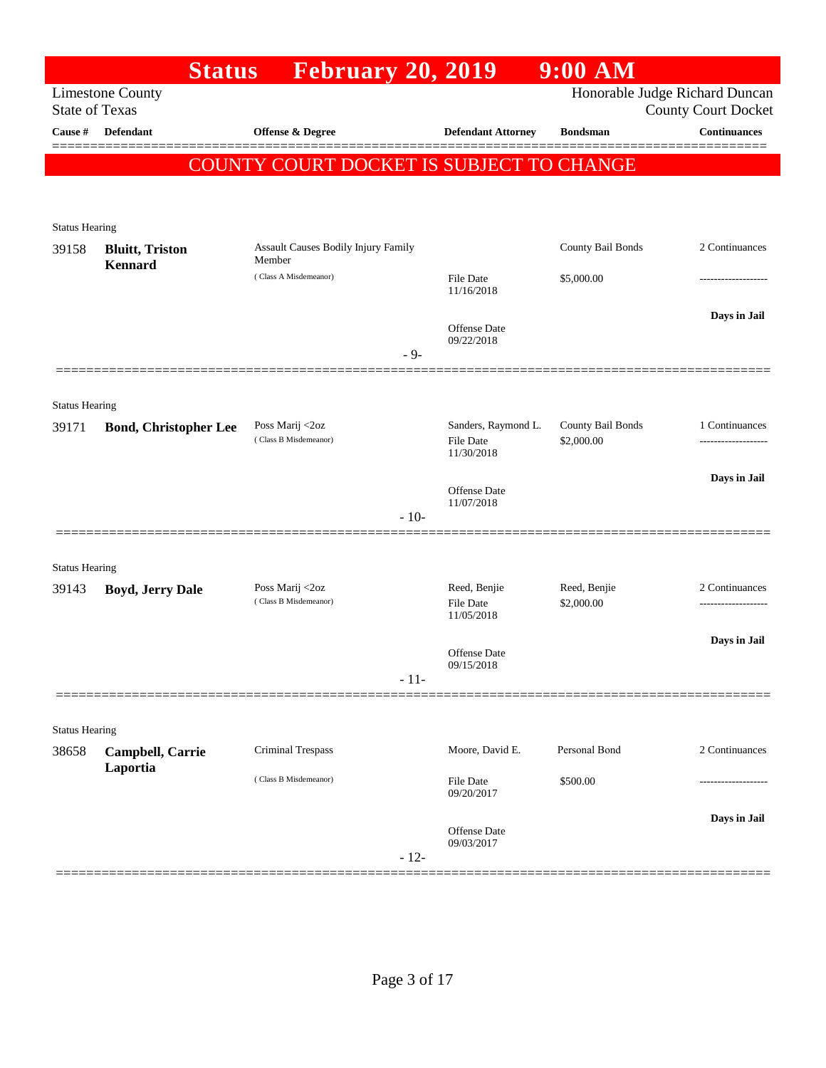|                                | <b>Status</b>                | <b>February 20, 2019</b>                      |        |                                   | $9:00$ AM         |                                                              |
|--------------------------------|------------------------------|-----------------------------------------------|--------|-----------------------------------|-------------------|--------------------------------------------------------------|
| <b>State of Texas</b>          | <b>Limestone County</b>      |                                               |        |                                   |                   | Honorable Judge Richard Duncan<br><b>County Court Docket</b> |
| Cause #                        | <b>Defendant</b>             | <b>Offense &amp; Degree</b>                   |        | <b>Defendant Attorney</b>         | <b>Bondsman</b>   | <b>Continuances</b>                                          |
|                                |                              |                                               |        |                                   |                   |                                                              |
|                                |                              | COUNTY COURT DOCKET IS SUBJECT TO CHANGE      |        |                                   |                   |                                                              |
|                                |                              |                                               |        |                                   |                   |                                                              |
| <b>Status Hearing</b>          |                              |                                               |        |                                   |                   |                                                              |
| 39158                          | <b>Bluitt</b> , Triston      | Assault Causes Bodily Injury Family<br>Member |        |                                   | County Bail Bonds | 2 Continuances                                               |
|                                | <b>Kennard</b>               | (Class A Misdemeanor)                         |        | <b>File Date</b><br>11/16/2018    | \$5,000.00        |                                                              |
|                                |                              |                                               |        | Offense Date                      |                   | Days in Jail                                                 |
|                                |                              |                                               | $-9-$  | 09/22/2018                        |                   |                                                              |
|                                |                              |                                               |        |                                   |                   |                                                              |
| <b>Status Hearing</b><br>39171 | <b>Bond, Christopher Lee</b> | Poss Marij <2oz                               |        | Sanders, Raymond L.               | County Bail Bonds | 1 Continuances                                               |
|                                |                              | (Class B Misdemeanor)                         |        | <b>File Date</b><br>11/30/2018    | \$2,000.00        |                                                              |
|                                |                              |                                               |        | <b>Offense Date</b>               |                   | Days in Jail                                                 |
|                                |                              |                                               | $-10-$ | 11/07/2018                        |                   |                                                              |
| <b>Status Hearing</b>          |                              |                                               |        |                                   |                   |                                                              |
| 39143                          | <b>Boyd, Jerry Dale</b>      | Poss Marij <2oz                               |        | Reed, Benjie                      | Reed, Benjie      | 2 Continuances                                               |
|                                |                              | (Class B Misdemeanor)                         |        | <b>File Date</b><br>11/05/2018    | \$2,000.00        | -------------------                                          |
|                                |                              |                                               |        | <b>Offense Date</b>               |                   | Days in Jail                                                 |
|                                |                              |                                               | $-11-$ | 09/15/2018                        |                   |                                                              |
|                                |                              |                                               |        |                                   |                   |                                                              |
| <b>Status Hearing</b>          |                              |                                               |        |                                   |                   |                                                              |
| 38658                          | Campbell, Carrie             | Criminal Trespass                             |        | Moore, David E.                   | Personal Bond     | 2 Continuances                                               |
|                                | Laportia                     | (Class B Misdemeanor)                         |        | <b>File Date</b><br>09/20/2017    | \$500.00          |                                                              |
|                                |                              |                                               |        |                                   |                   | Days in Jail                                                 |
|                                |                              |                                               | $-12-$ | <b>Offense Date</b><br>09/03/2017 |                   |                                                              |
|                                |                              |                                               |        |                                   |                   |                                                              |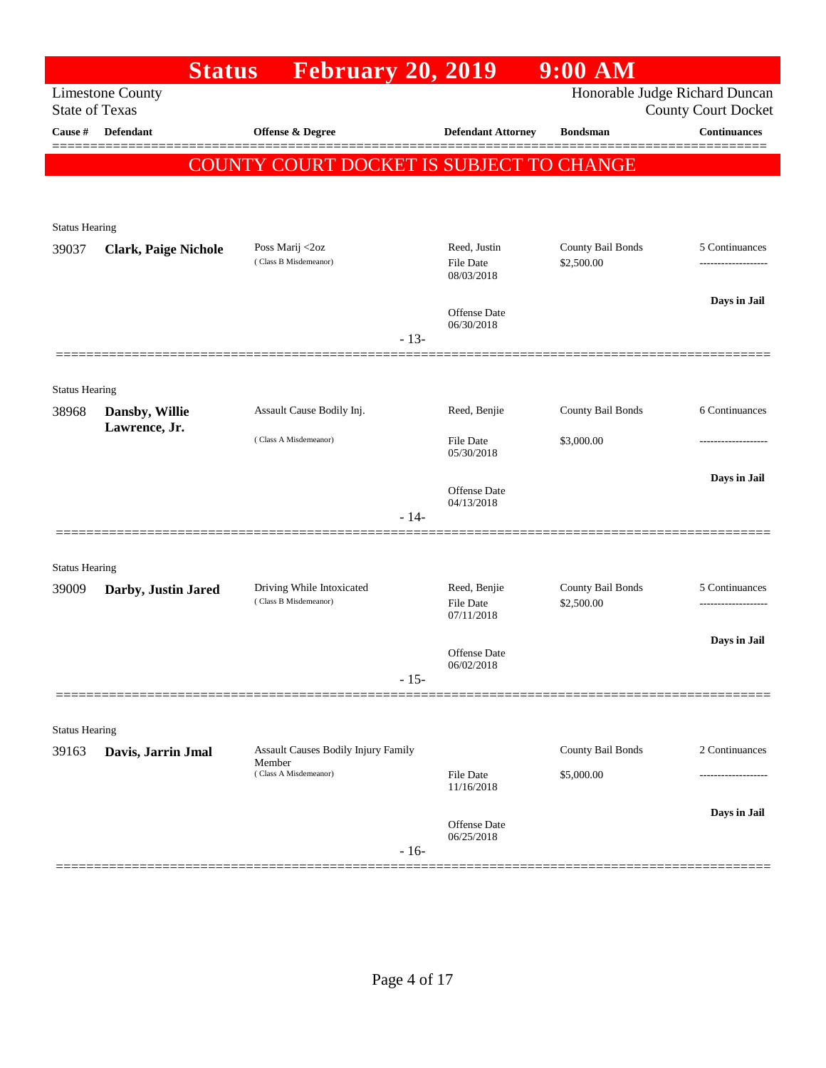| Honorable Judge Richard Duncan<br><b>Limestone County</b><br><b>State of Texas</b><br><b>County Court Docket</b><br><b>Defendant</b><br><b>Continuances</b><br>Cause #<br><b>Offense &amp; Degree</b><br><b>Defendant Attorney</b><br><b>Bondsman</b><br>COUNTY COURT DOCKET IS SUBJECT TO CHANGE<br><b>Status Hearing</b><br>County Bail Bonds<br>Poss Marij <2oz<br>Reed, Justin<br>5 Continuances<br>39037<br><b>Clark, Paige Nichole</b><br>(Class B Misdemeanor)<br>\$2,500.00<br><b>File Date</b><br>------------------<br>08/03/2018<br>Days in Jail<br>Offense Date<br>06/30/2018<br>$-13-$<br><b>Status Hearing</b><br>Reed, Benjie<br>County Bail Bonds<br>6 Continuances<br>Assault Cause Bodily Inj.<br>Dansby, Willie<br>38968<br>Lawrence, Jr.<br>(Class A Misdemeanor)<br>\$3,000.00<br><b>File Date</b><br>05/30/2018<br>Days in Jail<br>Offense Date<br>04/13/2018<br>$-14-$<br><b>Status Hearing</b><br>Reed, Benjie<br>County Bail Bonds<br>Driving While Intoxicated<br>5 Continuances<br>39009<br>Darby, Justin Jared<br>(Class B Misdemeanor)<br><b>File Date</b><br>\$2,500.00<br>-------------------<br>07/11/2018<br>Days in Jail<br>Offense Date<br>06/02/2018<br>$-15-$<br><b>Status Hearing</b><br>County Bail Bonds<br>2 Continuances<br><b>Assault Causes Bodily Injury Family</b><br>39163<br>Davis, Jarrin Jmal<br>Member<br>(Class A Misdemeanor)<br><b>File Date</b><br>\$5,000.00<br>--------------<br>11/16/2018<br>Days in Jail<br>Offense Date<br>06/25/2018<br>$-16-$ | <b>Status</b> | <b>February 20, 2019</b> |  | $9:00$ AM |  |
|--------------------------------------------------------------------------------------------------------------------------------------------------------------------------------------------------------------------------------------------------------------------------------------------------------------------------------------------------------------------------------------------------------------------------------------------------------------------------------------------------------------------------------------------------------------------------------------------------------------------------------------------------------------------------------------------------------------------------------------------------------------------------------------------------------------------------------------------------------------------------------------------------------------------------------------------------------------------------------------------------------------------------------------------------------------------------------------------------------------------------------------------------------------------------------------------------------------------------------------------------------------------------------------------------------------------------------------------------------------------------------------------------------------------------------------------------------------------------------------------------------------|---------------|--------------------------|--|-----------|--|
|                                                                                                                                                                                                                                                                                                                                                                                                                                                                                                                                                                                                                                                                                                                                                                                                                                                                                                                                                                                                                                                                                                                                                                                                                                                                                                                                                                                                                                                                                                              |               |                          |  |           |  |
|                                                                                                                                                                                                                                                                                                                                                                                                                                                                                                                                                                                                                                                                                                                                                                                                                                                                                                                                                                                                                                                                                                                                                                                                                                                                                                                                                                                                                                                                                                              |               |                          |  |           |  |
|                                                                                                                                                                                                                                                                                                                                                                                                                                                                                                                                                                                                                                                                                                                                                                                                                                                                                                                                                                                                                                                                                                                                                                                                                                                                                                                                                                                                                                                                                                              |               |                          |  |           |  |
|                                                                                                                                                                                                                                                                                                                                                                                                                                                                                                                                                                                                                                                                                                                                                                                                                                                                                                                                                                                                                                                                                                                                                                                                                                                                                                                                                                                                                                                                                                              |               |                          |  |           |  |
|                                                                                                                                                                                                                                                                                                                                                                                                                                                                                                                                                                                                                                                                                                                                                                                                                                                                                                                                                                                                                                                                                                                                                                                                                                                                                                                                                                                                                                                                                                              |               |                          |  |           |  |
|                                                                                                                                                                                                                                                                                                                                                                                                                                                                                                                                                                                                                                                                                                                                                                                                                                                                                                                                                                                                                                                                                                                                                                                                                                                                                                                                                                                                                                                                                                              |               |                          |  |           |  |
|                                                                                                                                                                                                                                                                                                                                                                                                                                                                                                                                                                                                                                                                                                                                                                                                                                                                                                                                                                                                                                                                                                                                                                                                                                                                                                                                                                                                                                                                                                              |               |                          |  |           |  |
|                                                                                                                                                                                                                                                                                                                                                                                                                                                                                                                                                                                                                                                                                                                                                                                                                                                                                                                                                                                                                                                                                                                                                                                                                                                                                                                                                                                                                                                                                                              |               |                          |  |           |  |
|                                                                                                                                                                                                                                                                                                                                                                                                                                                                                                                                                                                                                                                                                                                                                                                                                                                                                                                                                                                                                                                                                                                                                                                                                                                                                                                                                                                                                                                                                                              |               |                          |  |           |  |
|                                                                                                                                                                                                                                                                                                                                                                                                                                                                                                                                                                                                                                                                                                                                                                                                                                                                                                                                                                                                                                                                                                                                                                                                                                                                                                                                                                                                                                                                                                              |               |                          |  |           |  |
|                                                                                                                                                                                                                                                                                                                                                                                                                                                                                                                                                                                                                                                                                                                                                                                                                                                                                                                                                                                                                                                                                                                                                                                                                                                                                                                                                                                                                                                                                                              |               |                          |  |           |  |
|                                                                                                                                                                                                                                                                                                                                                                                                                                                                                                                                                                                                                                                                                                                                                                                                                                                                                                                                                                                                                                                                                                                                                                                                                                                                                                                                                                                                                                                                                                              |               |                          |  |           |  |
|                                                                                                                                                                                                                                                                                                                                                                                                                                                                                                                                                                                                                                                                                                                                                                                                                                                                                                                                                                                                                                                                                                                                                                                                                                                                                                                                                                                                                                                                                                              |               |                          |  |           |  |
|                                                                                                                                                                                                                                                                                                                                                                                                                                                                                                                                                                                                                                                                                                                                                                                                                                                                                                                                                                                                                                                                                                                                                                                                                                                                                                                                                                                                                                                                                                              |               |                          |  |           |  |
|                                                                                                                                                                                                                                                                                                                                                                                                                                                                                                                                                                                                                                                                                                                                                                                                                                                                                                                                                                                                                                                                                                                                                                                                                                                                                                                                                                                                                                                                                                              |               |                          |  |           |  |
|                                                                                                                                                                                                                                                                                                                                                                                                                                                                                                                                                                                                                                                                                                                                                                                                                                                                                                                                                                                                                                                                                                                                                                                                                                                                                                                                                                                                                                                                                                              |               |                          |  |           |  |
|                                                                                                                                                                                                                                                                                                                                                                                                                                                                                                                                                                                                                                                                                                                                                                                                                                                                                                                                                                                                                                                                                                                                                                                                                                                                                                                                                                                                                                                                                                              |               |                          |  |           |  |
|                                                                                                                                                                                                                                                                                                                                                                                                                                                                                                                                                                                                                                                                                                                                                                                                                                                                                                                                                                                                                                                                                                                                                                                                                                                                                                                                                                                                                                                                                                              |               |                          |  |           |  |
|                                                                                                                                                                                                                                                                                                                                                                                                                                                                                                                                                                                                                                                                                                                                                                                                                                                                                                                                                                                                                                                                                                                                                                                                                                                                                                                                                                                                                                                                                                              |               |                          |  |           |  |
|                                                                                                                                                                                                                                                                                                                                                                                                                                                                                                                                                                                                                                                                                                                                                                                                                                                                                                                                                                                                                                                                                                                                                                                                                                                                                                                                                                                                                                                                                                              |               |                          |  |           |  |
|                                                                                                                                                                                                                                                                                                                                                                                                                                                                                                                                                                                                                                                                                                                                                                                                                                                                                                                                                                                                                                                                                                                                                                                                                                                                                                                                                                                                                                                                                                              |               |                          |  |           |  |
|                                                                                                                                                                                                                                                                                                                                                                                                                                                                                                                                                                                                                                                                                                                                                                                                                                                                                                                                                                                                                                                                                                                                                                                                                                                                                                                                                                                                                                                                                                              |               |                          |  |           |  |
|                                                                                                                                                                                                                                                                                                                                                                                                                                                                                                                                                                                                                                                                                                                                                                                                                                                                                                                                                                                                                                                                                                                                                                                                                                                                                                                                                                                                                                                                                                              |               |                          |  |           |  |
|                                                                                                                                                                                                                                                                                                                                                                                                                                                                                                                                                                                                                                                                                                                                                                                                                                                                                                                                                                                                                                                                                                                                                                                                                                                                                                                                                                                                                                                                                                              |               |                          |  |           |  |
|                                                                                                                                                                                                                                                                                                                                                                                                                                                                                                                                                                                                                                                                                                                                                                                                                                                                                                                                                                                                                                                                                                                                                                                                                                                                                                                                                                                                                                                                                                              |               |                          |  |           |  |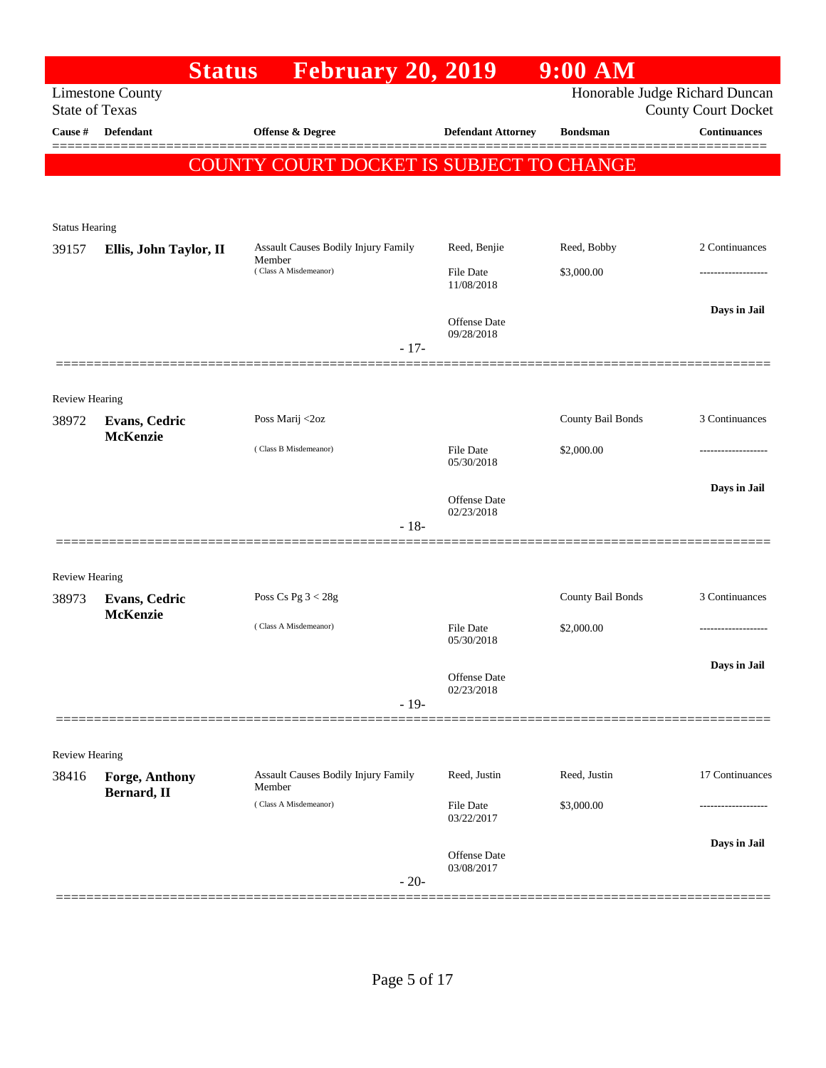|                                  | <b>Status</b>                           | <b>February 20, 2019</b>                      |                            | $9:00$ AM         |                                                   |
|----------------------------------|-----------------------------------------|-----------------------------------------------|----------------------------|-------------------|---------------------------------------------------|
|                                  | <b>Limestone County</b>                 |                                               |                            |                   | Honorable Judge Richard Duncan                    |
| <b>State of Texas</b><br>Cause # | <b>Defendant</b>                        | <b>Offense &amp; Degree</b>                   |                            | <b>Bondsman</b>   | <b>County Court Docket</b><br><b>Continuances</b> |
|                                  |                                         |                                               | <b>Defendant Attorney</b>  |                   |                                                   |
|                                  |                                         | COUNTY COURT DOCKET IS SUBJECT TO CHANGE      |                            |                   |                                                   |
|                                  |                                         |                                               |                            |                   |                                                   |
|                                  |                                         |                                               |                            |                   |                                                   |
| <b>Status Hearing</b><br>39157   | Ellis, John Taylor, II                  | <b>Assault Causes Bodily Injury Family</b>    | Reed, Benjie               | Reed, Bobby       | 2 Continuances                                    |
|                                  |                                         | Member<br>(Class A Misdemeanor)               | <b>File Date</b>           | \$3,000.00        |                                                   |
|                                  |                                         |                                               | 11/08/2018                 |                   |                                                   |
|                                  |                                         |                                               |                            |                   | Days in Jail                                      |
|                                  |                                         |                                               | Offense Date<br>09/28/2018 |                   |                                                   |
|                                  |                                         | $-17-$                                        |                            |                   |                                                   |
|                                  |                                         |                                               |                            |                   |                                                   |
| Review Hearing                   |                                         |                                               |                            |                   |                                                   |
| 38972                            | <b>Evans, Cedric</b><br><b>McKenzie</b> | Poss Marij <2oz                               |                            | County Bail Bonds | 3 Continuances                                    |
|                                  |                                         | (Class B Misdemeanor)                         | <b>File Date</b>           | \$2,000.00        |                                                   |
|                                  |                                         |                                               | 05/30/2018                 |                   |                                                   |
|                                  |                                         |                                               | <b>Offense Date</b>        |                   | Days in Jail                                      |
|                                  |                                         | $-18-$                                        | 02/23/2018                 |                   |                                                   |
|                                  |                                         |                                               |                            |                   |                                                   |
| Review Hearing                   |                                         |                                               |                            |                   |                                                   |
| 38973                            | <b>Evans, Cedric</b>                    | Poss Cs Pg $3 < 28g$                          |                            | County Bail Bonds | 3 Continuances                                    |
|                                  | <b>McKenzie</b>                         | (Class A Misdemeanor)                         | <b>File Date</b>           | \$2,000.00        |                                                   |
|                                  |                                         |                                               | 05/30/2018                 |                   |                                                   |
|                                  |                                         |                                               |                            |                   | Days in Jail                                      |
|                                  |                                         |                                               | Offense Date<br>02/23/2018 |                   |                                                   |
|                                  |                                         | $-19-$                                        |                            |                   |                                                   |
|                                  |                                         |                                               |                            |                   |                                                   |
| Review Hearing                   |                                         |                                               |                            |                   |                                                   |
| 38416                            | Forge, Anthony<br>Bernard, II           | Assault Causes Bodily Injury Family<br>Member | Reed, Justin               | Reed, Justin      | 17 Continuances                                   |
|                                  |                                         | (Class A Misdemeanor)                         | File Date                  | \$3,000.00        |                                                   |
|                                  |                                         |                                               | 03/22/2017                 |                   |                                                   |
|                                  |                                         |                                               | Offense Date               |                   | Days in Jail                                      |
|                                  |                                         | $-20-$                                        | 03/08/2017                 |                   |                                                   |
|                                  |                                         |                                               |                            |                   |                                                   |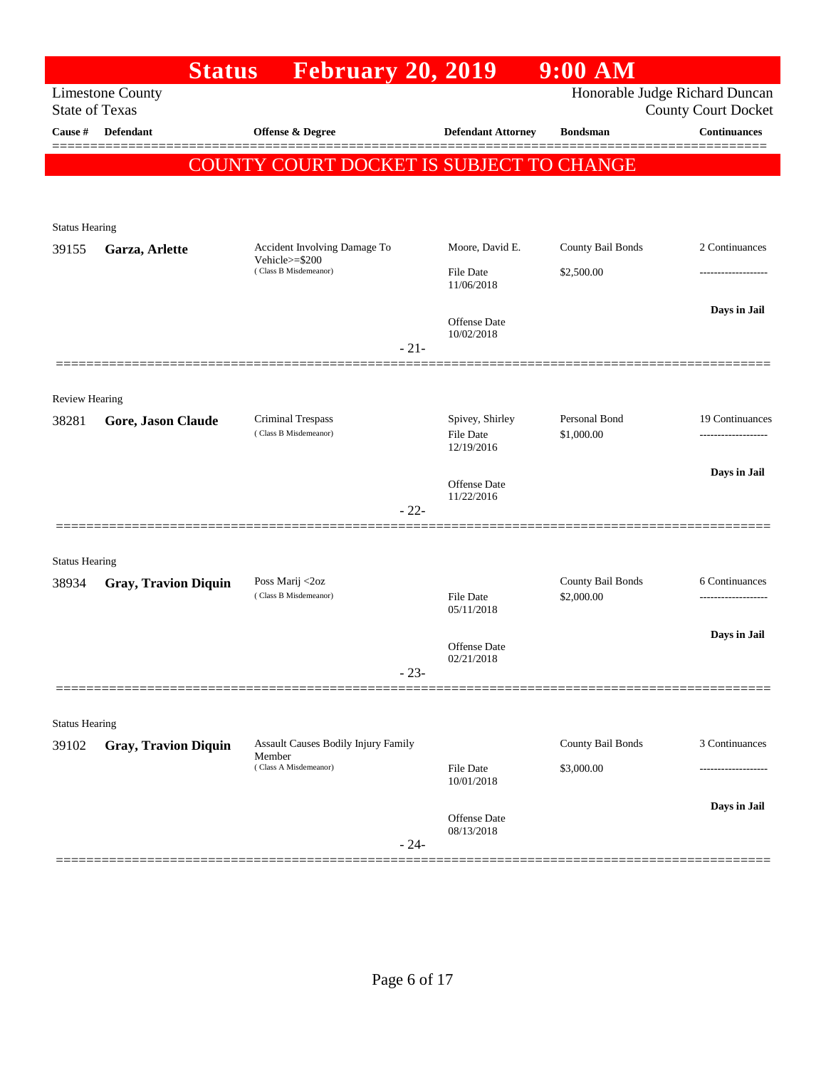|                                | <b>Status</b>               | <b>February 20, 2019</b>                   |        |                                | $9:00$ AM                   |                                                              |
|--------------------------------|-----------------------------|--------------------------------------------|--------|--------------------------------|-----------------------------|--------------------------------------------------------------|
| <b>State of Texas</b>          | <b>Limestone County</b>     |                                            |        |                                |                             | Honorable Judge Richard Duncan<br><b>County Court Docket</b> |
| Cause #                        | Defendant                   | <b>Offense &amp; Degree</b>                |        | <b>Defendant Attorney</b>      | <b>Bondsman</b>             | <b>Continuances</b>                                          |
|                                |                             | COUNTY COURT DOCKET IS SUBJECT TO CHANGE   |        |                                |                             |                                                              |
|                                |                             |                                            |        |                                |                             |                                                              |
| <b>Status Hearing</b>          |                             |                                            |        |                                |                             |                                                              |
| 39155                          | Garza, Arlette              | Accident Involving Damage To               |        | Moore, David E.                | County Bail Bonds           | 2 Continuances                                               |
|                                |                             | Vehicle>=\$200<br>(Class B Misdemeanor)    |        | File Date<br>11/06/2018        | \$2,500.00                  |                                                              |
|                                |                             |                                            | $-21-$ | Offense Date<br>10/02/2018     |                             | Days in Jail                                                 |
|                                |                             |                                            |        |                                |                             |                                                              |
| <b>Review Hearing</b>          |                             |                                            |        |                                |                             |                                                              |
| 38281                          | Gore, Jason Claude          | Criminal Trespass<br>(Class B Misdemeanor) |        | Spivey, Shirley<br>File Date   | Personal Bond<br>\$1,000.00 | 19 Continuances                                              |
|                                |                             |                                            |        | 12/19/2016                     |                             |                                                              |
|                                |                             |                                            |        | Offense Date<br>11/22/2016     |                             | Days in Jail                                                 |
|                                |                             |                                            | $-22-$ |                                |                             |                                                              |
|                                |                             |                                            |        |                                |                             |                                                              |
| <b>Status Hearing</b><br>38934 | <b>Gray, Travion Diquin</b> | Poss Marij <2oz<br>(Class B Misdemeanor)   |        |                                | County Bail Bonds           | 6 Continuances                                               |
|                                |                             |                                            |        | <b>File Date</b><br>05/11/2018 | \$2,000.00                  | ------------------                                           |
|                                |                             |                                            |        | <b>Offense</b> Date            |                             | Days in Jail                                                 |
|                                |                             |                                            | $-23-$ | 02/21/2018                     |                             |                                                              |
|                                |                             |                                            |        |                                |                             |                                                              |
| <b>Status Hearing</b>          |                             | <b>Assault Causes Bodily Injury Family</b> |        |                                | County Bail Bonds           | 3 Continuances                                               |
| 39102                          | <b>Gray, Travion Diquin</b> | Member<br>(Class A Misdemeanor)            |        | File Date                      | \$3,000.00                  |                                                              |
|                                |                             |                                            |        | 10/01/2018                     |                             |                                                              |
|                                |                             |                                            | $-24-$ | Offense Date<br>08/13/2018     |                             | Days in Jail                                                 |
|                                |                             |                                            |        |                                |                             |                                                              |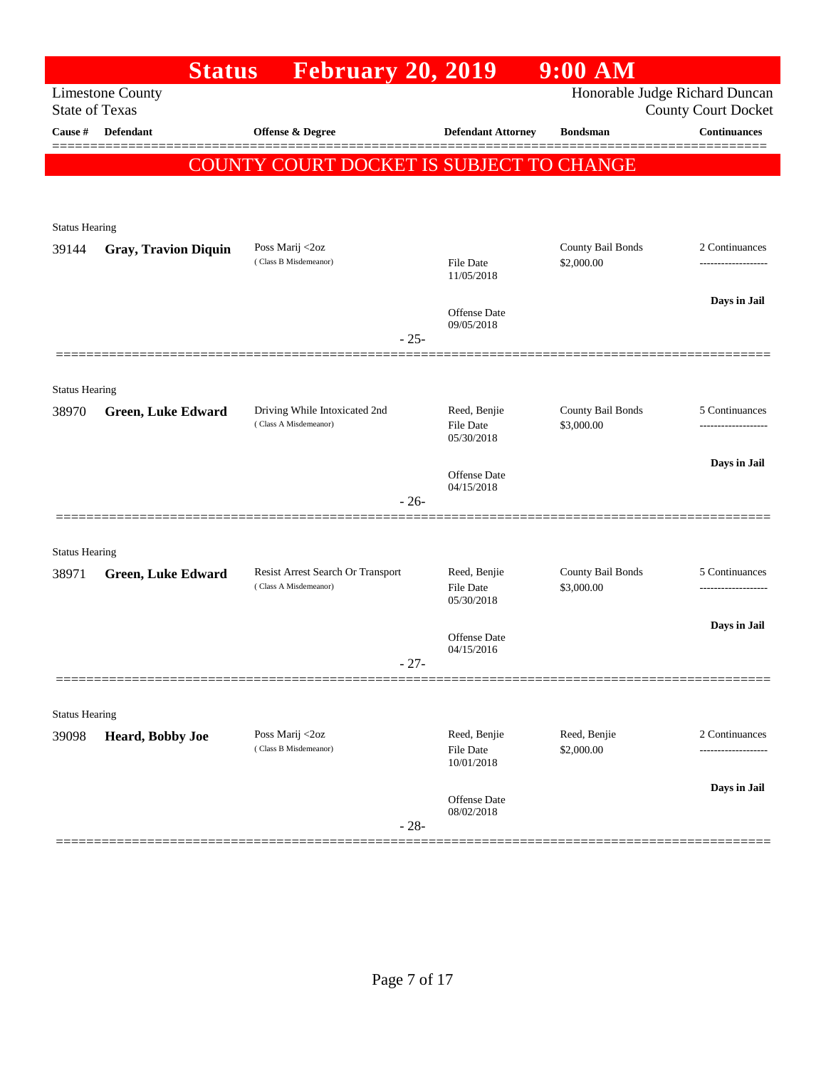|                                | <b>Status</b>               | <b>February 20, 2019</b>                               |        |                                   | $9:00$ AM                       |                                                              |
|--------------------------------|-----------------------------|--------------------------------------------------------|--------|-----------------------------------|---------------------------------|--------------------------------------------------------------|
| <b>State of Texas</b>          | <b>Limestone County</b>     |                                                        |        |                                   |                                 | Honorable Judge Richard Duncan<br><b>County Court Docket</b> |
| Cause #                        | <b>Defendant</b>            | Offense & Degree                                       |        | <b>Defendant Attorney</b>         | <b>Bondsman</b>                 | <b>Continuances</b>                                          |
|                                |                             | COUNTY COURT DOCKET IS SUBJECT TO CHANGE               |        |                                   |                                 |                                                              |
|                                |                             |                                                        |        |                                   |                                 |                                                              |
|                                |                             |                                                        |        |                                   |                                 |                                                              |
| <b>Status Hearing</b><br>39144 | <b>Gray, Travion Diquin</b> | Poss Marij <2oz                                        |        |                                   | County Bail Bonds               | 2 Continuances                                               |
|                                |                             | (Class B Misdemeanor)                                  |        | File Date<br>11/05/2018           | \$2,000.00                      |                                                              |
|                                |                             |                                                        |        |                                   |                                 | Days in Jail                                                 |
|                                |                             |                                                        |        | <b>Offense</b> Date<br>09/05/2018 |                                 |                                                              |
|                                |                             |                                                        | $-25-$ |                                   |                                 |                                                              |
|                                |                             |                                                        |        |                                   |                                 |                                                              |
| <b>Status Hearing</b>          |                             |                                                        |        |                                   |                                 |                                                              |
| 38970                          | <b>Green, Luke Edward</b>   | Driving While Intoxicated 2nd<br>(Class A Misdemeanor) |        | Reed, Benjie<br>File Date         | County Bail Bonds<br>\$3,000.00 | 5 Continuances<br>                                           |
|                                |                             |                                                        |        | 05/30/2018                        |                                 |                                                              |
|                                |                             |                                                        |        | <b>Offense</b> Date               |                                 | Days in Jail                                                 |
|                                |                             |                                                        | $-26-$ | 04/15/2018                        |                                 |                                                              |
|                                |                             |                                                        |        |                                   |                                 |                                                              |
| <b>Status Hearing</b>          |                             |                                                        |        |                                   |                                 |                                                              |
| 38971                          | <b>Green, Luke Edward</b>   | Resist Arrest Search Or Transport                      |        | Reed, Benjie                      | County Bail Bonds               | 5 Continuances                                               |
|                                |                             | (Class A Misdemeanor)                                  |        | File Date<br>05/30/2018           | \$3,000.00                      | -----------------                                            |
|                                |                             |                                                        |        |                                   |                                 | Days in Jail                                                 |
|                                |                             |                                                        |        | Offense Date<br>04/15/2016        |                                 |                                                              |
|                                |                             |                                                        | $-27-$ |                                   |                                 |                                                              |
|                                |                             |                                                        |        |                                   |                                 |                                                              |
| <b>Status Hearing</b>          |                             |                                                        |        |                                   |                                 |                                                              |
| 39098                          | <b>Heard, Bobby Joe</b>     | Poss Marij <2oz<br>(Class B Misdemeanor)               |        | Reed, Benjie<br><b>File Date</b>  | Reed, Benjie<br>\$2,000.00      | 2 Continuances                                               |
|                                |                             |                                                        |        | 10/01/2018                        |                                 |                                                              |
|                                |                             |                                                        |        | Offense Date                      |                                 | Days in Jail                                                 |
|                                |                             |                                                        | $-28-$ | 08/02/2018                        |                                 |                                                              |
|                                |                             |                                                        |        |                                   |                                 |                                                              |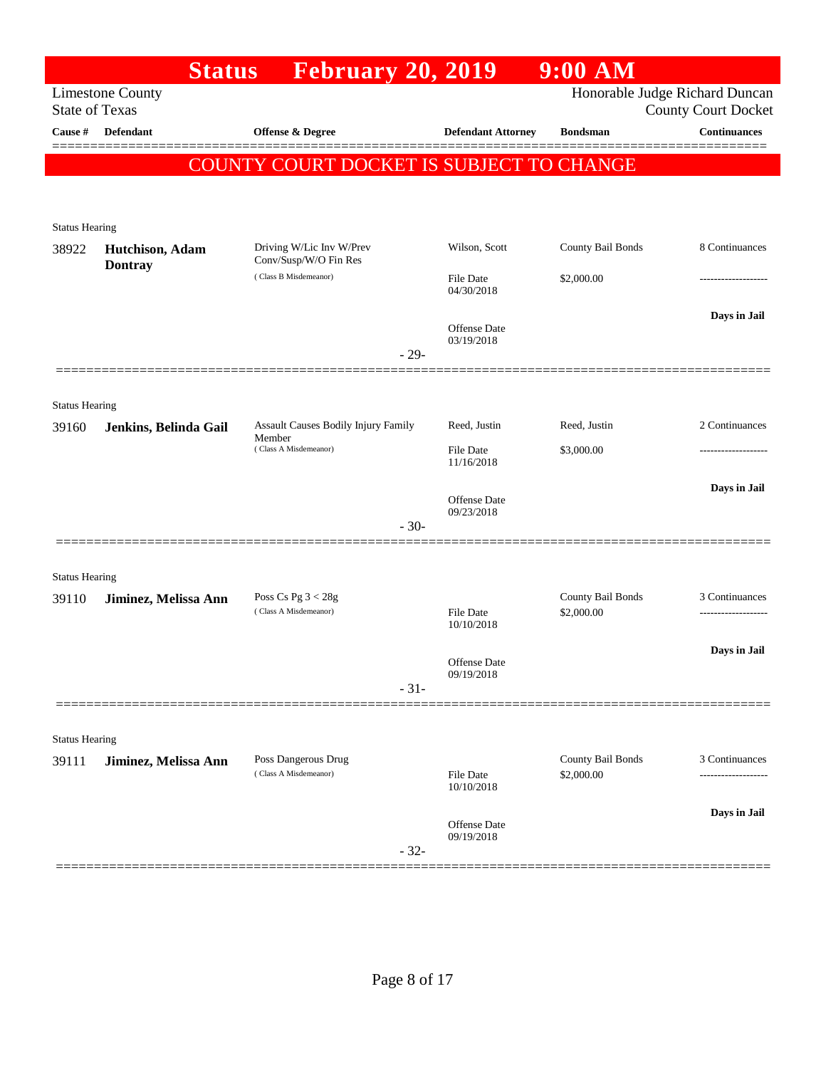|                                | <b>Status</b>                     | <b>February 20, 2019</b>                          |        |                                   | $9:00$ AM                |                                                              |
|--------------------------------|-----------------------------------|---------------------------------------------------|--------|-----------------------------------|--------------------------|--------------------------------------------------------------|
| <b>State of Texas</b>          | <b>Limestone County</b>           |                                                   |        |                                   |                          | Honorable Judge Richard Duncan<br><b>County Court Docket</b> |
| Cause $\#$                     | <b>Defendant</b>                  | <b>Offense &amp; Degree</b>                       |        | <b>Defendant Attorney</b>         | <b>Bondsman</b>          | <b>Continuances</b>                                          |
|                                |                                   | COUNTY COURT DOCKET IS SUBJECT TO CHANGE          |        |                                   |                          |                                                              |
|                                |                                   |                                                   |        |                                   |                          |                                                              |
| <b>Status Hearing</b>          |                                   |                                                   |        |                                   |                          |                                                              |
| 38922                          | Hutchison, Adam<br><b>Dontray</b> | Driving W/Lic Inv W/Prev<br>Conv/Susp/W/O Fin Res |        | Wilson, Scott                     | <b>County Bail Bonds</b> | 8 Continuances                                               |
|                                |                                   | (Class B Misdemeanor)                             |        | <b>File Date</b><br>04/30/2018    | \$2,000.00               | -----------------                                            |
|                                |                                   |                                                   | $-29-$ | <b>Offense</b> Date<br>03/19/2018 |                          | Days in Jail                                                 |
|                                |                                   |                                                   |        |                                   |                          |                                                              |
| <b>Status Hearing</b>          |                                   |                                                   |        |                                   |                          |                                                              |
| 39160                          | Jenkins, Belinda Gail             | Assault Causes Bodily Injury Family<br>Member     |        | Reed, Justin                      | Reed, Justin             | 2 Continuances                                               |
|                                |                                   | (Class A Misdemeanor)                             |        | File Date<br>11/16/2018           | \$3,000.00               | .                                                            |
|                                |                                   |                                                   |        |                                   |                          | Days in Jail                                                 |
|                                |                                   |                                                   |        | <b>Offense</b> Date<br>09/23/2018 |                          |                                                              |
|                                |                                   |                                                   | $-30-$ |                                   |                          |                                                              |
|                                |                                   |                                                   |        |                                   |                          |                                                              |
| <b>Status Hearing</b><br>39110 | Jiminez, Melissa Ann              | Poss Cs Pg $3 < 28g$                              |        |                                   | County Bail Bonds        | 3 Continuances                                               |
|                                |                                   | (Class A Misdemeanor)                             |        | File Date<br>10/10/2018           | \$2,000.00               |                                                              |
|                                |                                   |                                                   |        |                                   |                          | Days in Jail                                                 |
|                                |                                   |                                                   |        | Offense Date<br>09/19/2018        |                          |                                                              |
|                                |                                   |                                                   | $-31-$ |                                   |                          |                                                              |
|                                |                                   |                                                   |        |                                   |                          |                                                              |
| <b>Status Hearing</b>          |                                   | Poss Dangerous Drug                               |        |                                   | County Bail Bonds        | 3 Continuances                                               |
| 39111                          | Jiminez, Melissa Ann              | (Class A Misdemeanor)                             |        | File Date<br>10/10/2018           | \$2,000.00               | -----------------                                            |
|                                |                                   |                                                   |        |                                   |                          | Days in Jail                                                 |
|                                |                                   |                                                   | $-32-$ | Offense Date<br>09/19/2018        |                          |                                                              |
|                                |                                   |                                                   |        |                                   |                          |                                                              |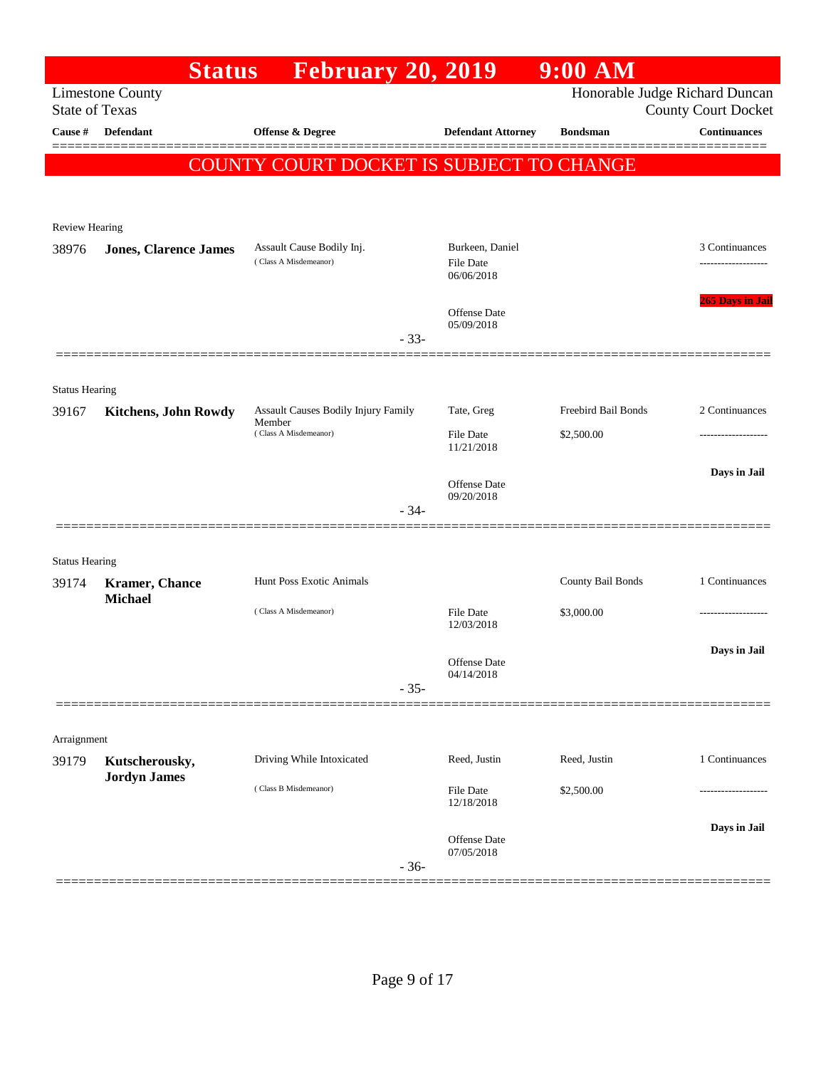|                       | <b>Status</b>                         | <b>February 20, 2019</b>                           |        |                                                   | $9:00$ AM           |                                                              |
|-----------------------|---------------------------------------|----------------------------------------------------|--------|---------------------------------------------------|---------------------|--------------------------------------------------------------|
| <b>State of Texas</b> | <b>Limestone County</b>               |                                                    |        |                                                   |                     | Honorable Judge Richard Duncan<br><b>County Court Docket</b> |
| Cause #               | <b>Defendant</b>                      | Offense & Degree                                   |        | <b>Defendant Attorney</b>                         | <b>Bondsman</b>     | <b>Continuances</b>                                          |
|                       |                                       |                                                    |        |                                                   |                     | ======                                                       |
|                       |                                       | COUNTY COURT DOCKET IS SUBJECT TO CHANGE           |        |                                                   |                     |                                                              |
|                       |                                       |                                                    |        |                                                   |                     |                                                              |
| <b>Review Hearing</b> |                                       |                                                    |        |                                                   |                     |                                                              |
| 38976                 | <b>Jones, Clarence James</b>          | Assault Cause Bodily Inj.<br>(Class A Misdemeanor) |        | Burkeen, Daniel<br><b>File Date</b><br>06/06/2018 |                     | 3 Continuances                                               |
|                       |                                       |                                                    | $-33-$ | Offense Date<br>05/09/2018                        |                     | <b>265 Days in Jail</b>                                      |
|                       |                                       |                                                    |        |                                                   |                     |                                                              |
| <b>Status Hearing</b> |                                       |                                                    |        |                                                   |                     |                                                              |
| 39167                 | <b>Kitchens, John Rowdy</b>           | Assault Causes Bodily Injury Family                |        | Tate, Greg                                        | Freebird Bail Bonds | 2 Continuances                                               |
|                       |                                       | Member<br>(Class A Misdemeanor)                    |        | File Date<br>11/21/2018                           | \$2,500.00          | ------------------                                           |
|                       |                                       |                                                    |        | <b>Offense</b> Date                               |                     | Days in Jail                                                 |
|                       |                                       |                                                    | $-34-$ | 09/20/2018                                        |                     |                                                              |
|                       |                                       |                                                    |        |                                                   |                     |                                                              |
| <b>Status Hearing</b> |                                       |                                                    |        |                                                   |                     |                                                              |
| 39174                 | Kramer, Chance<br><b>Michael</b>      | Hunt Poss Exotic Animals                           |        |                                                   | County Bail Bonds   | 1 Continuances                                               |
|                       |                                       | (Class A Misdemeanor)                              |        | File Date<br>12/03/2018                           | \$3,000.00          | ---------------                                              |
|                       |                                       |                                                    |        | Offense Date<br>04/14/2018                        |                     | Days in Jail                                                 |
|                       |                                       |                                                    | $-35-$ |                                                   |                     |                                                              |
|                       |                                       |                                                    |        |                                                   |                     |                                                              |
| Arraignment           |                                       | Driving While Intoxicated                          |        | Reed, Justin                                      | Reed, Justin        | 1 Continuances                                               |
| 39179                 | Kutscherousky,<br><b>Jordyn James</b> |                                                    |        |                                                   |                     |                                                              |
|                       |                                       | (Class B Misdemeanor)                              |        | File Date<br>12/18/2018                           | \$2,500.00          | ----------------                                             |
|                       |                                       |                                                    |        | Offense Date<br>07/05/2018                        |                     | Days in Jail                                                 |
|                       |                                       |                                                    | $-36-$ |                                                   |                     |                                                              |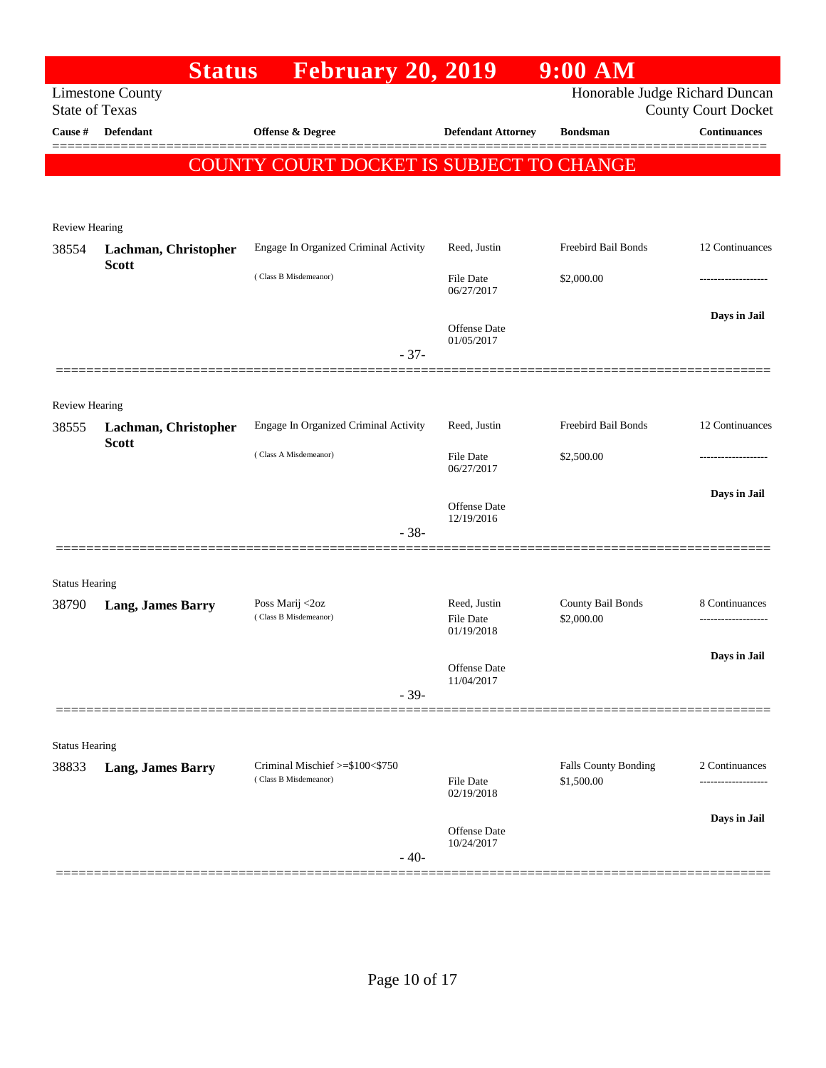|                       | <b>Status</b>                        | <b>February 20, 2019</b>                                 |                                   | $9:00$ AM                                 |                                  |
|-----------------------|--------------------------------------|----------------------------------------------------------|-----------------------------------|-------------------------------------------|----------------------------------|
| <b>State of Texas</b> | <b>Limestone County</b>              |                                                          |                                   | Honorable Judge Richard Duncan            | <b>County Court Docket</b>       |
| Cause #               | <b>Defendant</b>                     | <b>Offense &amp; Degree</b>                              | <b>Defendant Attorney</b>         | <b>Bondsman</b>                           | <b>Continuances</b>              |
|                       |                                      | COUNTY COURT DOCKET IS SUBJECT TO CHANGE                 |                                   |                                           |                                  |
|                       |                                      |                                                          |                                   |                                           |                                  |
| <b>Review Hearing</b> |                                      |                                                          |                                   |                                           |                                  |
| 38554                 | Lachman, Christopher<br><b>Scott</b> | Engage In Organized Criminal Activity                    | Reed, Justin                      | Freebird Bail Bonds                       | 12 Continuances                  |
|                       |                                      | (Class B Misdemeanor)                                    | <b>File Date</b><br>06/27/2017    | \$2,000.00                                |                                  |
|                       |                                      | $-37-$                                                   | Offense Date<br>01/05/2017        |                                           | Days in Jail                     |
|                       |                                      |                                                          |                                   |                                           |                                  |
| <b>Review Hearing</b> |                                      |                                                          |                                   |                                           |                                  |
| 38555                 | Lachman, Christopher                 | Engage In Organized Criminal Activity                    | Reed, Justin                      | Freebird Bail Bonds                       | 12 Continuances                  |
|                       | <b>Scott</b>                         | (Class A Misdemeanor)                                    | <b>File Date</b><br>06/27/2017    | \$2,500.00                                |                                  |
|                       |                                      |                                                          | <b>Offense</b> Date<br>12/19/2016 |                                           | Days in Jail                     |
|                       |                                      | $-38-$                                                   |                                   |                                           |                                  |
| <b>Status Hearing</b> |                                      |                                                          |                                   |                                           |                                  |
| 38790                 | <b>Lang, James Barry</b>             | Poss Marij <2oz                                          | Reed, Justin                      | County Bail Bonds                         | 8 Continuances                   |
|                       |                                      | (Class B Misdemeanor)                                    | <b>File Date</b><br>01/19/2018    | \$2,000.00                                |                                  |
|                       |                                      |                                                          | Offense Date                      |                                           | Days in Jail                     |
|                       |                                      | $-39-$                                                   | 11/04/2017                        |                                           |                                  |
|                       |                                      |                                                          |                                   |                                           |                                  |
| <b>Status Hearing</b> |                                      |                                                          |                                   |                                           |                                  |
| 38833                 | <b>Lang, James Barry</b>             | Criminal Mischief >=\$100<\$750<br>(Class B Misdemeanor) | <b>File Date</b><br>02/19/2018    | <b>Falls County Bonding</b><br>\$1,500.00 | 2 Continuances<br>-------------- |
|                       |                                      |                                                          |                                   |                                           | Days in Jail                     |
|                       |                                      | $-40-$                                                   | <b>Offense</b> Date<br>10/24/2017 |                                           |                                  |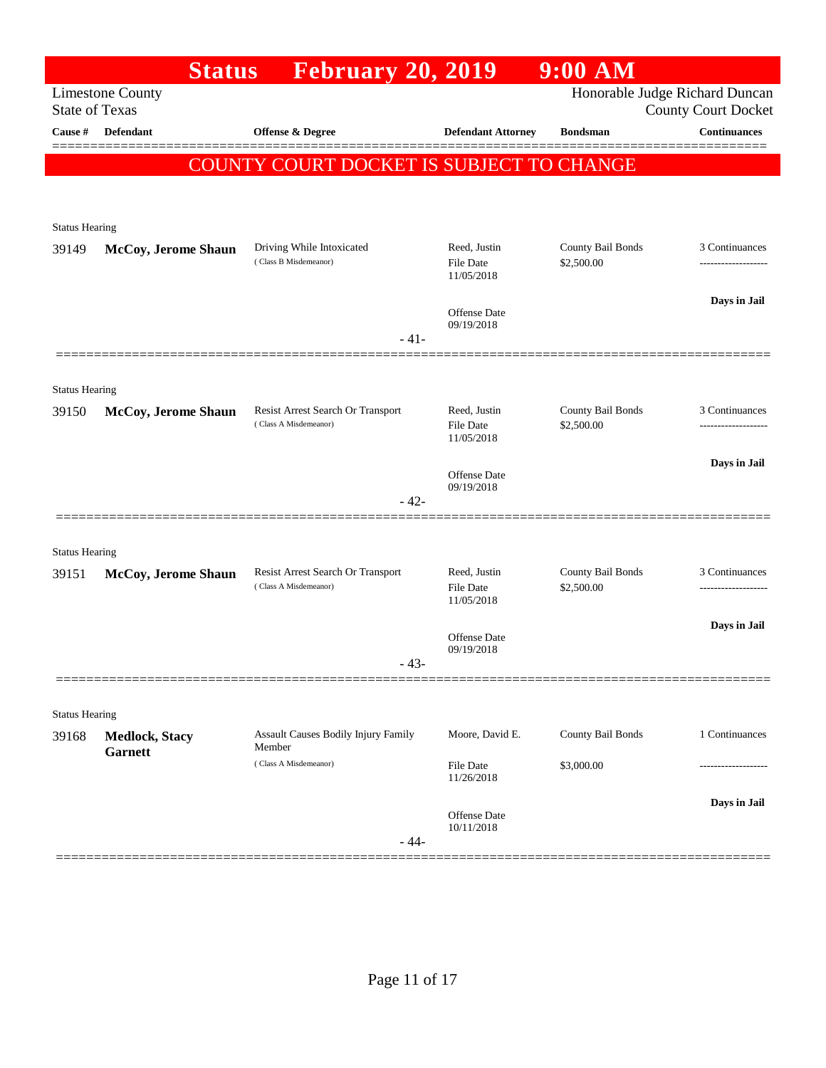|                                | <b>Status</b>           | <b>February 20, 2019</b>                 |                                | 9:00 AM           |                                                              |
|--------------------------------|-------------------------|------------------------------------------|--------------------------------|-------------------|--------------------------------------------------------------|
| <b>State of Texas</b>          | <b>Limestone County</b> |                                          |                                |                   | Honorable Judge Richard Duncan<br><b>County Court Docket</b> |
| Cause #                        | Defendant               | <b>Offense &amp; Degree</b>              | <b>Defendant Attorney</b>      | <b>Bondsman</b>   | <b>Continuances</b>                                          |
|                                |                         | COUNTY COURT DOCKET IS SUBJECT TO CHANGE |                                |                   |                                                              |
|                                |                         |                                          |                                |                   |                                                              |
| <b>Status Hearing</b>          |                         |                                          |                                |                   |                                                              |
| 39149                          | McCoy, Jerome Shaun     | Driving While Intoxicated                | Reed, Justin                   | County Bail Bonds | 3 Continuances                                               |
|                                |                         | (Class B Misdemeanor)                    | <b>File Date</b><br>11/05/2018 | \$2,500.00        | ------------------                                           |
|                                |                         |                                          |                                |                   | Days in Jail                                                 |
|                                |                         |                                          | Offense Date<br>09/19/2018     |                   |                                                              |
|                                |                         | $-41-$                                   |                                |                   |                                                              |
|                                |                         |                                          |                                |                   |                                                              |
| <b>Status Hearing</b><br>39150 | McCoy, Jerome Shaun     | Resist Arrest Search Or Transport        | Reed, Justin                   | County Bail Bonds | 3 Continuances                                               |
|                                |                         | (Class A Misdemeanor)                    | <b>File Date</b><br>11/05/2018 | \$2,500.00        |                                                              |
|                                |                         |                                          |                                |                   | Days in Jail                                                 |
|                                |                         |                                          | Offense Date<br>09/19/2018     |                   |                                                              |
|                                |                         | $-42-$                                   |                                |                   |                                                              |
|                                |                         |                                          |                                |                   |                                                              |
| <b>Status Hearing</b><br>39151 | McCoy, Jerome Shaun     | Resist Arrest Search Or Transport        | Reed, Justin                   | County Bail Bonds | 3 Continuances                                               |
|                                |                         | (Class A Misdemeanor)                    | <b>File Date</b><br>11/05/2018 | \$2,500.00        | ----------------                                             |
|                                |                         |                                          |                                |                   | Days in Jail                                                 |
|                                |                         |                                          | Offense Date<br>09/19/2018     |                   |                                                              |
|                                |                         | $-43-$                                   |                                |                   |                                                              |
| <b>Status Hearing</b>          |                         |                                          |                                |                   |                                                              |
| 39168                          | <b>Medlock, Stacy</b>   | Assault Causes Bodily Injury Family      | Moore, David E.                | County Bail Bonds | 1 Continuances                                               |
|                                | <b>Garnett</b>          | Member<br>(Class A Misdemeanor)          | <b>File Date</b>               | \$3,000.00        |                                                              |
|                                |                         |                                          | 11/26/2018                     |                   |                                                              |
|                                |                         |                                          | Offense Date                   |                   | Days in Jail                                                 |
|                                |                         | $-44-$                                   | 10/11/2018                     |                   |                                                              |
|                                |                         |                                          |                                |                   |                                                              |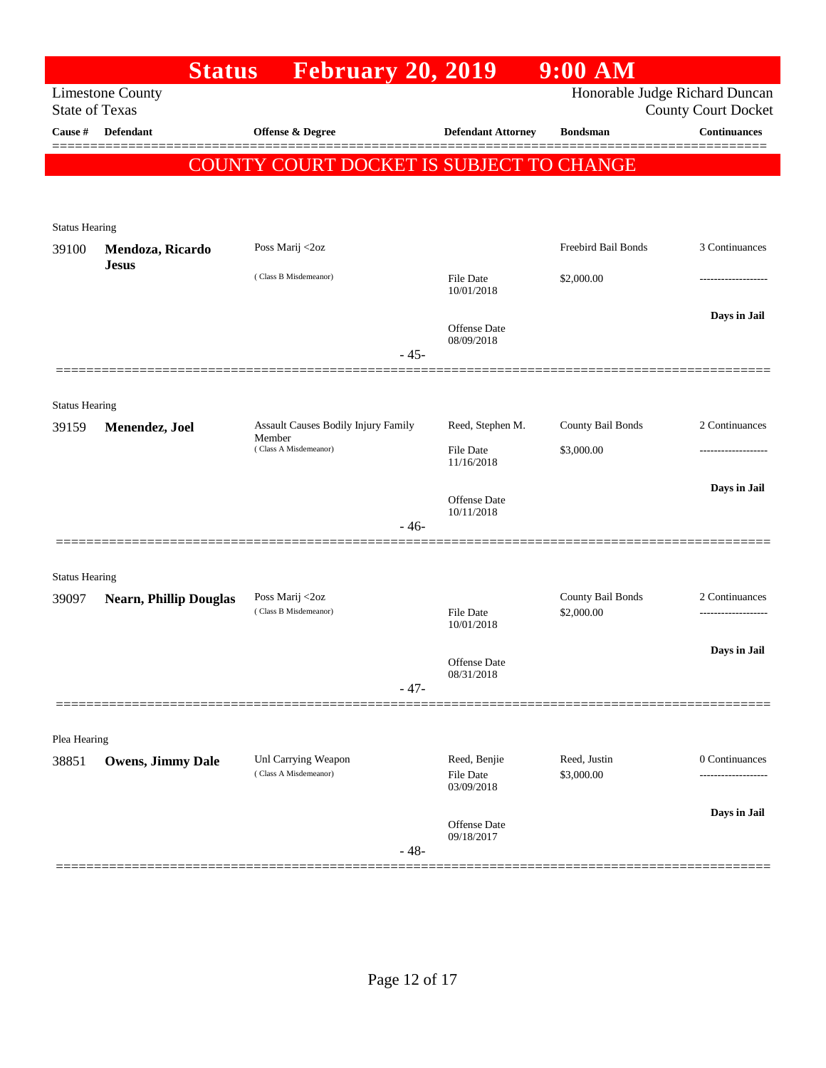|                                | <b>Status</b>                    | <b>February 20, 2019</b>                     |                                                | $9:00$ AM                       |                                                              |
|--------------------------------|----------------------------------|----------------------------------------------|------------------------------------------------|---------------------------------|--------------------------------------------------------------|
| <b>State of Texas</b>          | <b>Limestone County</b>          |                                              |                                                |                                 | Honorable Judge Richard Duncan<br><b>County Court Docket</b> |
| Cause #                        | <b>Defendant</b>                 | Offense & Degree                             | <b>Defendant Attorney</b>                      | <b>Bondsman</b>                 | <b>Continuances</b>                                          |
|                                |                                  | COUNTY COURT DOCKET IS SUBJECT TO CHANGE     |                                                |                                 |                                                              |
| <b>Status Hearing</b>          |                                  |                                              |                                                |                                 |                                                              |
| 39100                          | Mendoza, Ricardo<br><b>Jesus</b> | Poss Marij <2oz                              |                                                | Freebird Bail Bonds             | 3 Continuances                                               |
|                                |                                  | (Class B Misdemeanor)                        | <b>File Date</b><br>10/01/2018                 | \$2,000.00                      |                                                              |
|                                |                                  | $-45-$                                       | Offense Date<br>08/09/2018                     |                                 | Days in Jail                                                 |
|                                |                                  |                                              |                                                |                                 |                                                              |
| <b>Status Hearing</b><br>39159 | Menendez, Joel                   | Assault Causes Bodily Injury Family          | Reed, Stephen M.                               | County Bail Bonds               | 2 Continuances                                               |
|                                |                                  | Member<br>(Class A Misdemeanor)              | <b>File Date</b><br>11/16/2018                 | \$3,000.00                      |                                                              |
|                                |                                  |                                              | Offense Date<br>10/11/2018                     |                                 | Days in Jail                                                 |
|                                |                                  | $-46-$                                       |                                                |                                 |                                                              |
| <b>Status Hearing</b>          |                                  |                                              |                                                |                                 |                                                              |
| 39097                          | <b>Nearn, Phillip Douglas</b>    | Poss Marij <2oz<br>(Class B Misdemeanor)     | <b>File Date</b><br>10/01/2018                 | County Bail Bonds<br>\$2,000.00 | 2 Continuances<br>-------------------                        |
|                                |                                  | $-47-$                                       | Offense Date<br>08/31/2018                     |                                 | Days in Jail                                                 |
|                                |                                  |                                              |                                                |                                 |                                                              |
| Plea Hearing                   |                                  |                                              |                                                |                                 |                                                              |
| 38851                          | <b>Owens, Jimmy Dale</b>         | Unl Carrying Weapon<br>(Class A Misdemeanor) | Reed, Benjie<br><b>File Date</b><br>03/09/2018 | Reed, Justin<br>\$3,000.00      | 0 Continuances                                               |
|                                |                                  | $-48-$                                       | Offense Date<br>09/18/2017                     |                                 | Days in Jail                                                 |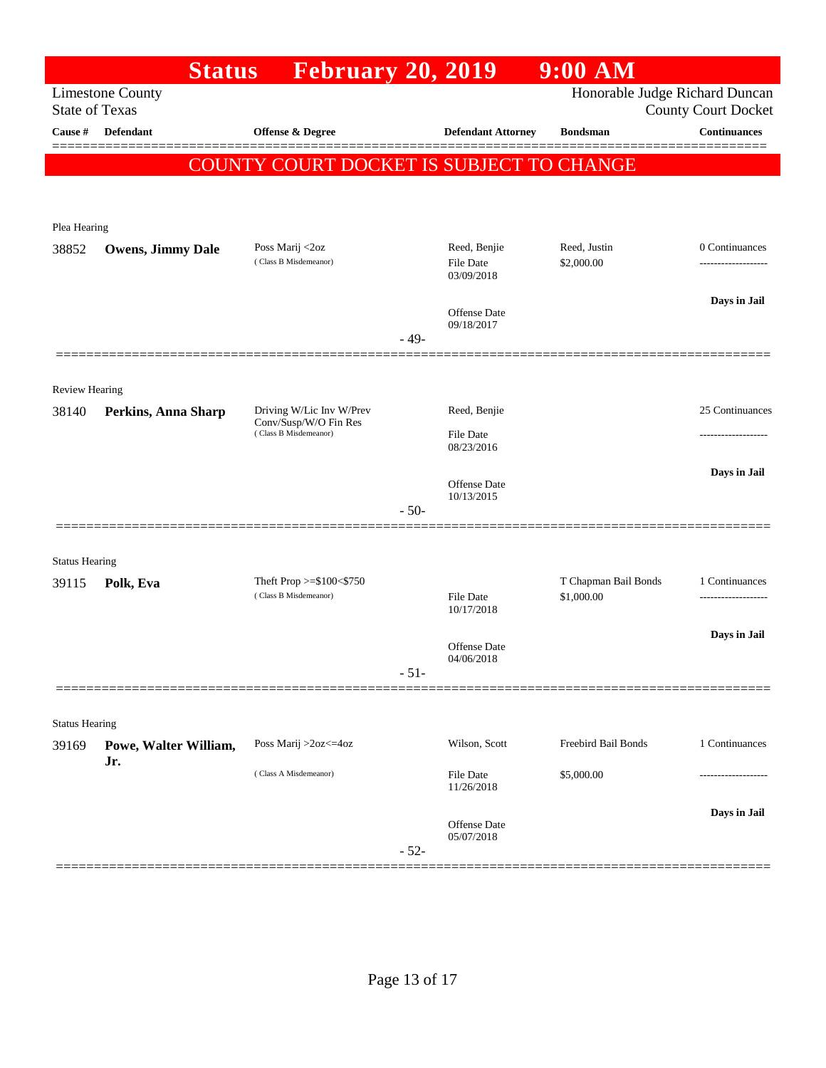|                                |                              | <b>Status</b>         | <b>February 20, 2019</b>                                                   |                         |                                  | $9:00$ AM                      |                            |
|--------------------------------|------------------------------|-----------------------|----------------------------------------------------------------------------|-------------------------|----------------------------------|--------------------------------|----------------------------|
| <b>State of Texas</b>          | <b>Limestone County</b>      |                       |                                                                            |                         |                                  | Honorable Judge Richard Duncan | <b>County Court Docket</b> |
| Cause #                        | <b>Defendant</b>             |                       | <b>Offense &amp; Degree</b>                                                |                         | <b>Defendant Attorney</b>        | <b>Bondsman</b>                | <b>Continuances</b>        |
|                                |                              |                       | COUNTY COURT DOCKET IS SUBJECT TO CHANGE                                   |                         |                                  |                                |                            |
|                                |                              |                       |                                                                            |                         |                                  |                                |                            |
| Plea Hearing                   |                              |                       |                                                                            |                         |                                  |                                |                            |
| 38852                          | <b>Owens, Jimmy Dale</b>     |                       | Poss Marij <2oz<br>(Class B Misdemeanor)                                   |                         | Reed, Benjie<br><b>File Date</b> | Reed, Justin<br>\$2,000.00     | 0 Continuances             |
|                                |                              |                       |                                                                            |                         | 03/09/2018                       |                                |                            |
|                                |                              |                       |                                                                            |                         | Offense Date                     |                                | Days in Jail               |
|                                |                              |                       |                                                                            | $-49-$                  | 09/18/2017                       |                                |                            |
|                                |                              |                       |                                                                            |                         |                                  |                                |                            |
| <b>Review Hearing</b>          |                              |                       |                                                                            |                         | Reed, Benjie                     |                                | 25 Continuances            |
| 38140                          | Perkins, Anna Sharp          |                       | Driving W/Lic Inv W/Prev<br>Conv/Susp/W/O Fin Res<br>(Class B Misdemeanor) |                         | <b>File Date</b>                 |                                |                            |
|                                |                              |                       |                                                                            |                         | 08/23/2016                       |                                |                            |
|                                |                              |                       |                                                                            |                         | Offense Date<br>10/13/2015       |                                | Days in Jail               |
|                                |                              |                       |                                                                            | $-50-$                  |                                  |                                |                            |
|                                |                              |                       |                                                                            |                         |                                  |                                |                            |
| <b>Status Hearing</b><br>39115 | Polk, Eva                    |                       | Theft Prop $>=$ \$100 $<$ \$750                                            |                         |                                  | T Chapman Bail Bonds           | 1 Continuances             |
|                                |                              | (Class B Misdemeanor) |                                                                            |                         | <b>File Date</b><br>10/17/2018   | \$1,000.00                     | -----------------          |
|                                |                              |                       |                                                                            |                         |                                  |                                | Days in Jail               |
|                                |                              |                       |                                                                            | $-51-$                  | Offense Date<br>04/06/2018       |                                |                            |
|                                |                              |                       |                                                                            |                         |                                  |                                |                            |
| <b>Status Hearing</b>          |                              |                       |                                                                            |                         |                                  |                                |                            |
| 39169                          | Powe, Walter William,<br>Jr. |                       | Poss Marij >2oz<=4oz                                                       |                         | Wilson, Scott                    | Freebird Bail Bonds            | 1 Continuances             |
|                                |                              | (Class A Misdemeanor) |                                                                            | File Date<br>11/26/2018 | \$5,000.00                       |                                |                            |
|                                |                              |                       |                                                                            |                         | Offense Date                     |                                | Days in Jail               |
|                                |                              |                       |                                                                            | $-52-$                  | 05/07/2018                       |                                |                            |
|                                |                              |                       |                                                                            |                         |                                  |                                |                            |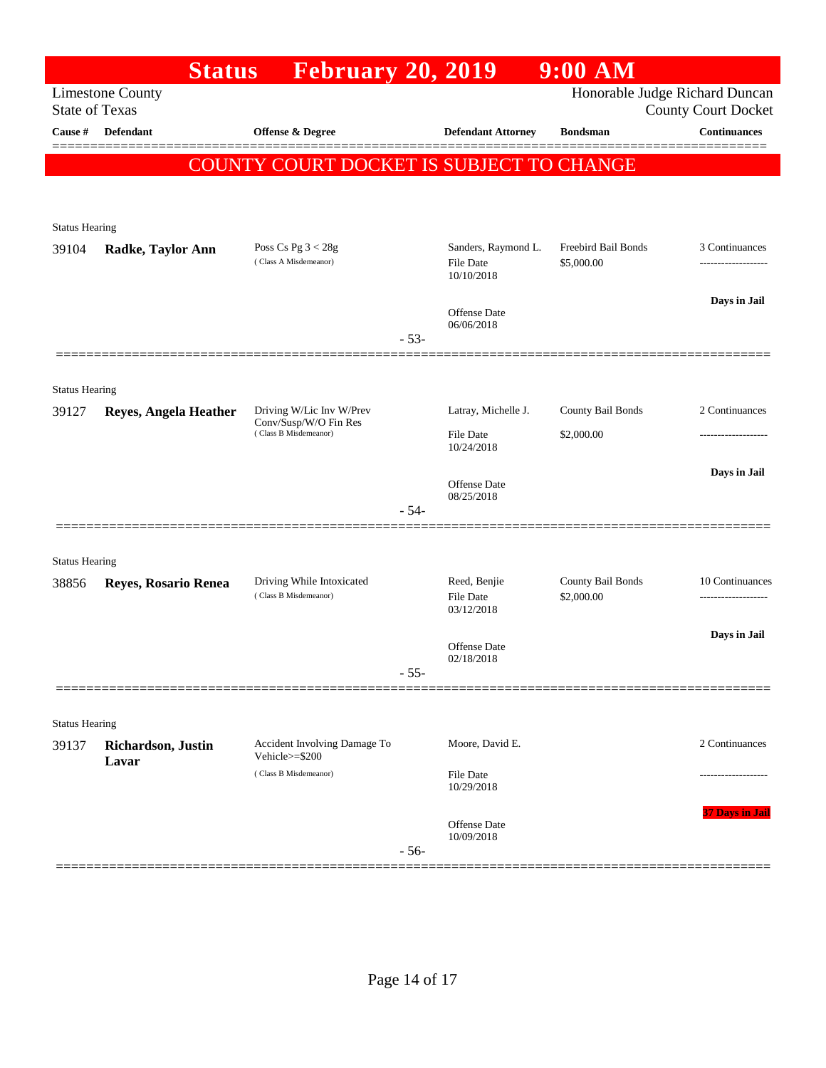|                                                                                                                  | <b>Status</b>         | <b>February 20, 2019</b>                           |        |                                                | $9:00$ AM                                |                        |
|------------------------------------------------------------------------------------------------------------------|-----------------------|----------------------------------------------------|--------|------------------------------------------------|------------------------------------------|------------------------|
| Honorable Judge Richard Duncan<br><b>Limestone County</b><br><b>State of Texas</b><br><b>County Court Docket</b> |                       |                                                    |        |                                                |                                          |                        |
| Cause #                                                                                                          | Defendant             | Offense & Degree                                   |        | <b>Defendant Attorney</b>                      | <b>Bondsman</b>                          | <b>Continuances</b>    |
|                                                                                                                  |                       | COUNTY COURT DOCKET IS SUBJECT TO CHANGE           |        |                                                |                                          | ======                 |
|                                                                                                                  |                       |                                                    |        |                                                |                                          |                        |
|                                                                                                                  |                       |                                                    |        |                                                |                                          |                        |
| <b>Status Hearing</b>                                                                                            |                       |                                                    |        |                                                |                                          |                        |
| 39104                                                                                                            | Radke, Taylor Ann     | Poss Cs Pg $3 < 28g$<br>(Class A Misdemeanor)      |        | Sanders, Raymond L.<br>File Date<br>10/10/2018 | <b>Freebird Bail Bonds</b><br>\$5,000.00 | 3 Continuances<br>.    |
|                                                                                                                  |                       |                                                    |        | Offense Date<br>06/06/2018                     |                                          | Days in Jail           |
|                                                                                                                  |                       |                                                    | $-53-$ |                                                |                                          |                        |
| <b>Status Hearing</b>                                                                                            |                       |                                                    |        |                                                |                                          |                        |
| 39127                                                                                                            | Reyes, Angela Heather | Driving W/Lic Inv W/Prev                           |        | Latray, Michelle J.                            | County Bail Bonds                        | 2 Continuances         |
|                                                                                                                  |                       | Conv/Susp/W/O Fin Res<br>(Class B Misdemeanor)     |        | <b>File Date</b><br>10/24/2018                 | \$2,000.00                               | -------------------    |
|                                                                                                                  |                       |                                                    |        | Offense Date                                   |                                          | Days in Jail           |
|                                                                                                                  |                       |                                                    | $-54-$ | 08/25/2018                                     |                                          |                        |
|                                                                                                                  |                       |                                                    |        |                                                |                                          |                        |
| <b>Status Hearing</b>                                                                                            |                       |                                                    |        |                                                |                                          |                        |
| 38856                                                                                                            | Reyes, Rosario Renea  | Driving While Intoxicated<br>(Class B Misdemeanor) |        | Reed, Benjie<br>File Date<br>03/12/2018        | County Bail Bonds<br>\$2,000.00          | 10 Continuances<br>.   |
|                                                                                                                  |                       |                                                    |        |                                                |                                          | Days in Jail           |
|                                                                                                                  |                       |                                                    |        | Offense Date<br>02/18/2018                     |                                          |                        |
|                                                                                                                  |                       |                                                    | $-55-$ |                                                |                                          |                        |
|                                                                                                                  |                       |                                                    |        |                                                |                                          |                        |
| <b>Status Hearing</b><br>39137                                                                                   | Richardson, Justin    | Accident Involving Damage To                       |        | Moore, David E.                                |                                          | 2 Continuances         |
|                                                                                                                  | Lavar                 | Vehicle>=\$200<br>(Class B Misdemeanor)            |        | File Date<br>10/29/2018                        |                                          | -----------            |
|                                                                                                                  |                       |                                                    |        |                                                |                                          | <b>37 Days in Jail</b> |
|                                                                                                                  |                       |                                                    | $-56-$ | Offense Date<br>10/09/2018                     |                                          |                        |
|                                                                                                                  |                       |                                                    |        |                                                |                                          |                        |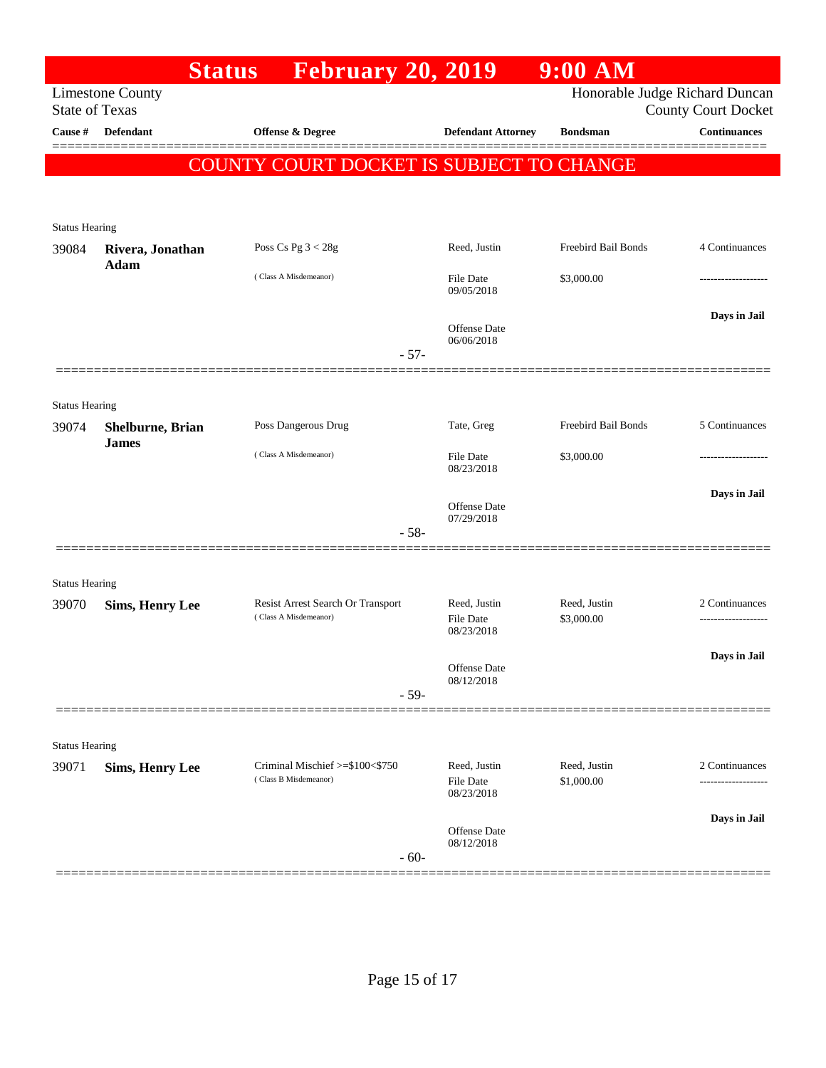|                                |                                 | <b>Status</b> | <b>February 20, 2019</b>                                   |        |                                                | $9:00$ AM                  |                                                              |
|--------------------------------|---------------------------------|---------------|------------------------------------------------------------|--------|------------------------------------------------|----------------------------|--------------------------------------------------------------|
| <b>State of Texas</b>          | <b>Limestone County</b>         |               |                                                            |        |                                                |                            | Honorable Judge Richard Duncan<br><b>County Court Docket</b> |
| Cause #                        | <b>Defendant</b>                |               | Offense & Degree                                           |        | <b>Defendant Attorney</b>                      | <b>Bondsman</b>            | <b>Continuances</b>                                          |
|                                |                                 |               | COUNTY COURT DOCKET IS SUBJECT TO CHANGE                   |        |                                                |                            |                                                              |
|                                |                                 |               |                                                            |        |                                                |                            |                                                              |
| <b>Status Hearing</b>          |                                 |               |                                                            |        |                                                |                            |                                                              |
| 39084                          | Rivera, Jonathan<br><b>Adam</b> |               | Poss Cs Pg $3 < 28g$                                       |        | Reed, Justin                                   | Freebird Bail Bonds        | 4 Continuances                                               |
|                                |                                 |               | (Class A Misdemeanor)                                      |        | File Date<br>09/05/2018                        | \$3,000.00                 |                                                              |
|                                |                                 |               |                                                            |        | <b>Offense Date</b><br>06/06/2018              |                            | Days in Jail                                                 |
|                                |                                 |               |                                                            | $-57-$ |                                                |                            |                                                              |
|                                |                                 |               |                                                            |        |                                                |                            |                                                              |
| <b>Status Hearing</b><br>39074 | Shelburne, Brian                |               | Poss Dangerous Drug                                        |        | Tate, Greg                                     | Freebird Bail Bonds        | 5 Continuances                                               |
|                                | <b>James</b>                    |               | (Class A Misdemeanor)                                      |        | <b>File Date</b><br>08/23/2018                 | \$3,000.00                 |                                                              |
|                                |                                 |               |                                                            |        | <b>Offense Date</b>                            |                            | Days in Jail                                                 |
|                                |                                 |               |                                                            | $-58-$ | 07/29/2018                                     |                            |                                                              |
|                                |                                 |               |                                                            |        |                                                |                            |                                                              |
| <b>Status Hearing</b>          |                                 |               |                                                            |        |                                                |                            |                                                              |
| 39070                          | <b>Sims, Henry Lee</b>          |               | Resist Arrest Search Or Transport<br>(Class A Misdemeanor) |        | Reed, Justin<br><b>File Date</b><br>08/23/2018 | Reed, Justin<br>\$3,000.00 | 2 Continuances                                               |
|                                |                                 |               |                                                            |        | Offense Date                                   |                            | Days in Jail                                                 |
|                                |                                 |               |                                                            | $-59-$ | 08/12/2018                                     |                            |                                                              |
|                                |                                 |               |                                                            |        |                                                |                            |                                                              |
| <b>Status Hearing</b>          |                                 |               |                                                            |        |                                                |                            |                                                              |
| 39071                          | <b>Sims, Henry Lee</b>          |               | Criminal Mischief >=\$100<\$750<br>(Class B Misdemeanor)   |        | Reed, Justin<br><b>File Date</b><br>08/23/2018 | Reed, Justin<br>\$1,000.00 | 2 Continuances                                               |
|                                |                                 |               |                                                            | $-60-$ | <b>Offense Date</b><br>08/12/2018              |                            | Days in Jail                                                 |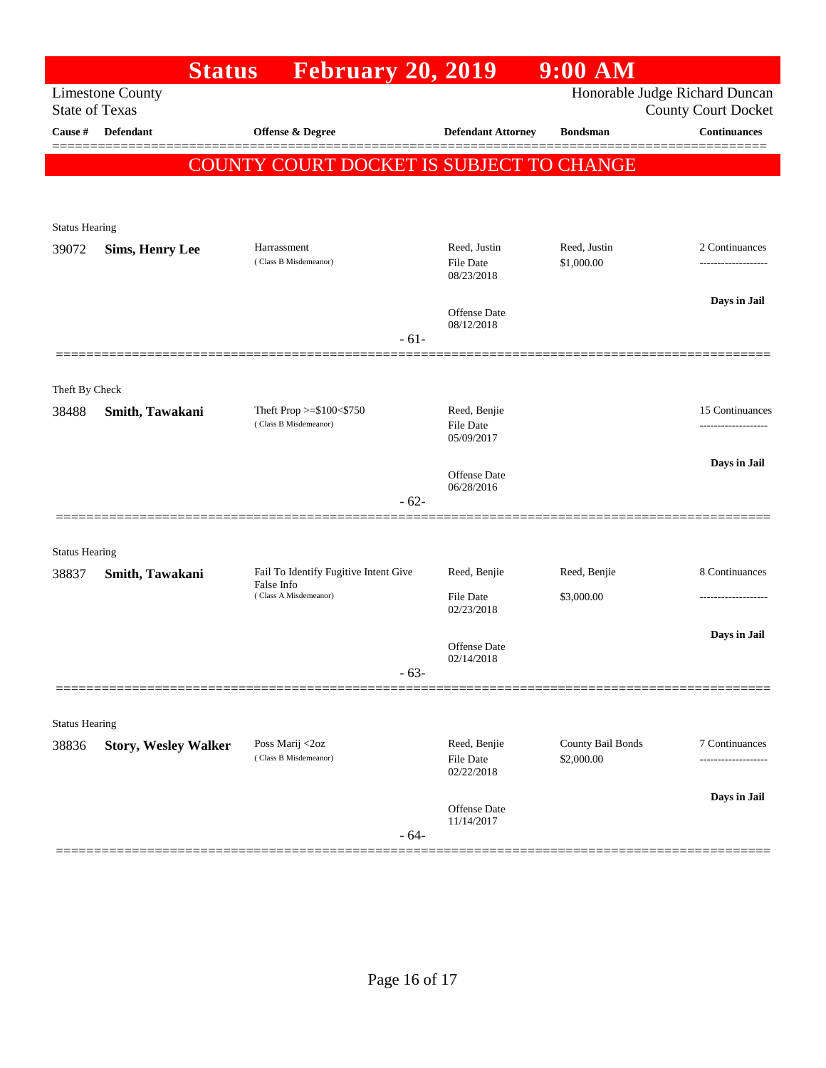|                                                  |                             | <b>Status</b> | <b>February 20, 2019</b>                 |        |                                | $9:00$ AM         |                                                              |
|--------------------------------------------------|-----------------------------|---------------|------------------------------------------|--------|--------------------------------|-------------------|--------------------------------------------------------------|
| <b>Limestone County</b><br><b>State of Texas</b> |                             |               |                                          |        |                                |                   | Honorable Judge Richard Duncan<br><b>County Court Docket</b> |
| Cause #                                          | <b>Defendant</b>            |               | <b>Offense &amp; Degree</b>              |        | <b>Defendant Attorney</b>      | <b>Bondsman</b>   | <b>Continuances</b>                                          |
|                                                  |                             |               | COUNTY COURT DOCKET IS SUBJECT TO CHANGE |        |                                |                   |                                                              |
|                                                  |                             |               |                                          |        |                                |                   |                                                              |
| <b>Status Hearing</b>                            |                             |               |                                          |        |                                |                   |                                                              |
| 39072                                            | <b>Sims, Henry Lee</b>      |               | Harrassment                              |        | Reed, Justin                   | Reed, Justin      | 2 Continuances                                               |
|                                                  |                             |               | (Class B Misdemeanor)                    |        | File Date<br>08/23/2018        | \$1,000.00        |                                                              |
|                                                  |                             |               |                                          |        |                                |                   | Days in Jail                                                 |
|                                                  |                             |               |                                          |        | Offense Date<br>08/12/2018     |                   |                                                              |
|                                                  |                             |               |                                          | $-61-$ |                                |                   |                                                              |
|                                                  |                             |               |                                          |        |                                |                   |                                                              |
| Theft By Check<br>38488                          | Smith, Tawakani             |               | Theft Prop >=\$100<\$750                 |        | Reed, Benjie                   |                   | 15 Continuances                                              |
|                                                  |                             |               | (Class B Misdemeanor)                    |        | <b>File Date</b><br>05/09/2017 |                   | .                                                            |
|                                                  |                             |               |                                          |        |                                |                   | Days in Jail                                                 |
|                                                  |                             |               |                                          |        | Offense Date<br>06/28/2016     |                   |                                                              |
|                                                  |                             |               |                                          | $-62-$ |                                |                   |                                                              |
|                                                  |                             |               |                                          |        |                                |                   |                                                              |
| <b>Status Hearing</b>                            |                             |               | Fail To Identify Fugitive Intent Give    |        | Reed, Benjie                   | Reed, Benjie      | 8 Continuances                                               |
| 38837                                            | Smith, Tawakani             | False Info    | (Class A Misdemeanor)                    |        | <b>File Date</b>               | \$3,000.00        | -------------------                                          |
|                                                  |                             |               |                                          |        | 02/23/2018                     |                   |                                                              |
|                                                  |                             |               |                                          |        | Offense Date                   |                   | Days in Jail                                                 |
|                                                  |                             |               |                                          | $-63-$ | 02/14/2018                     |                   |                                                              |
|                                                  |                             |               |                                          |        |                                |                   |                                                              |
| <b>Status Hearing</b>                            |                             |               |                                          |        |                                |                   |                                                              |
| 38836                                            | <b>Story, Wesley Walker</b> |               | Poss Marij <2oz<br>(Class B Misdemeanor) |        | Reed, Benjie                   | County Bail Bonds | 7 Continuances                                               |
|                                                  |                             |               |                                          |        | File Date<br>02/22/2018        | \$2,000.00        | -------------                                                |
|                                                  |                             |               |                                          |        | Offense Date                   |                   | Days in Jail                                                 |
|                                                  |                             |               |                                          | $-64-$ | 11/14/2017                     |                   |                                                              |
|                                                  |                             |               |                                          |        |                                |                   |                                                              |